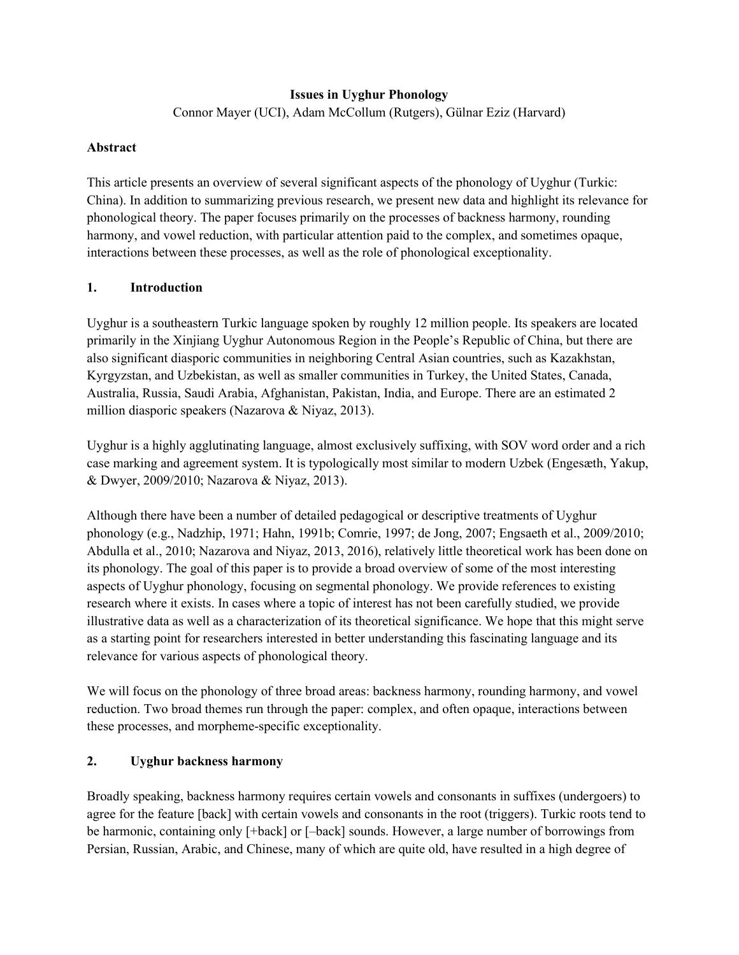### **Issues in Uyghur Phonology**

Connor Mayer (UCI), Adam McCollum (Rutgers), Gülnar Eziz (Harvard)

### **Abstract**

This article presents an overview of several significant aspects of the phonology of Uyghur (Turkic: China). In addition to summarizing previous research, we present new data and highlight its relevance for phonological theory. The paper focuses primarily on the processes of backness harmony, rounding harmony, and vowel reduction, with particular attention paid to the complex, and sometimes opaque, interactions between these processes, as well as the role of phonological exceptionality.

### **1. Introduction**

Uyghur is a southeastern Turkic language spoken by roughly 12 million people. Its speakers are located primarily in the Xinjiang Uyghur Autonomous Region in the People's Republic of China, but there are also significant diasporic communities in neighboring Central Asian countries, such as Kazakhstan, Kyrgyzstan, and Uzbekistan, as well as smaller communities in Turkey, the United States, Canada, Australia, Russia, Saudi Arabia, Afghanistan, Pakistan, India, and Europe. There are an estimated 2 million diasporic speakers (Nazarova & Niyaz, 2013).

Uyghur is a highly agglutinating language, almost exclusively suffixing, with SOV word order and a rich case marking and agreement system. It is typologically most similar to modern Uzbek (Engesæth, Yakup, & Dwyer, 2009/2010; Nazarova & Niyaz, 2013).

Although there have been a number of detailed pedagogical or descriptive treatments of Uyghur phonology (e.g., Nadzhip, 1971; Hahn, 1991b; Comrie, 1997; de Jong, 2007; Engsaeth et al., 2009/2010; Abdulla et al., 2010; Nazarova and Niyaz, 2013, 2016), relatively little theoretical work has been done on its phonology. The goal of this paper is to provide a broad overview of some of the most interesting aspects of Uyghur phonology, focusing on segmental phonology. We provide references to existing research where it exists. In cases where a topic of interest has not been carefully studied, we provide illustrative data as well as a characterization of its theoretical significance. We hope that this might serve as a starting point for researchers interested in better understanding this fascinating language and its relevance for various aspects of phonological theory.

We will focus on the phonology of three broad areas: backness harmony, rounding harmony, and vowel reduction. Two broad themes run through the paper: complex, and often opaque, interactions between these processes, and morpheme-specific exceptionality.

### **2. Uyghur backness harmony**

Broadly speaking, backness harmony requires certain vowels and consonants in suffixes (undergoers) to agree for the feature [back] with certain vowels and consonants in the root (triggers). Turkic roots tend to be harmonic, containing only [+back] or [–back] sounds. However, a large number of borrowings from Persian, Russian, Arabic, and Chinese, many of which are quite old, have resulted in a high degree of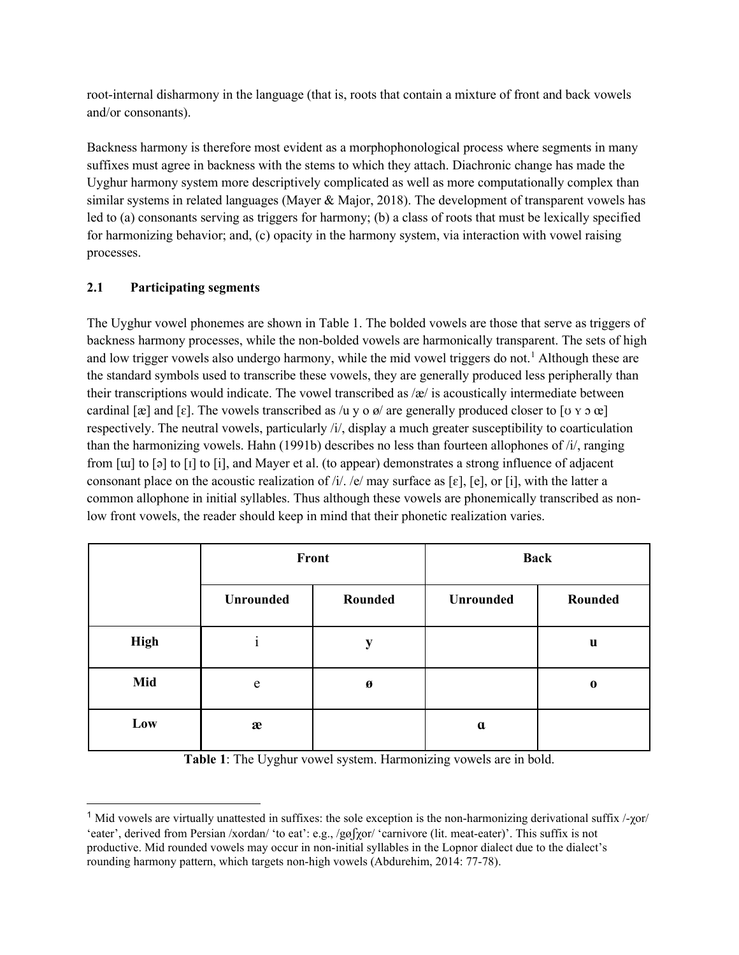root-internal disharmony in the language (that is, roots that contain a mixture of front and back vowels and/or consonants).

Backness harmony is therefore most evident as a morphophonological process where segments in many suffixes must agree in backness with the stems to which they attach. Diachronic change has made the Uyghur harmony system more descriptively complicated as well as more computationally complex than similar systems in related languages (Mayer & Major, 2018). The development of transparent vowels has led to (a) consonants serving as triggers for harmony; (b) a class of roots that must be lexically specified for harmonizing behavior; and, (c) opacity in the harmony system, via interaction with vowel raising processes.

## **2.1 Participating segments**

The Uyghur vowel phonemes are shown in Table 1. The bolded vowels are those that serve as triggers of backness harmony processes, while the non-bolded vowels are harmonically transparent. The sets of high and low trigger vowels also undergo harmony, while the mid vowel triggers do not.<sup>[1](#page-1-0)</sup> Although these are the standard symbols used to transcribe these vowels, they are generally produced less peripherally than their transcriptions would indicate. The vowel transcribed as  $\alpha$  is acoustically intermediate between cardinal [æ] and [ɛ]. The vowels transcribed as /u y o  $\alpha$ / are generally produced closer to [ʊ y ɔ œ] respectively. The neutral vowels, particularly /i/, display a much greater susceptibility to coarticulation than the harmonizing vowels. Hahn (1991b) describes no less than fourteen allophones of /i/, ranging from [ɯ] to [ə] to [ɪ] to [i], and Mayer et al. (to appear) demonstrates a strong influence of adjacent consonant place on the acoustic realization of  $/i$ . /e/ may surface as [ɛ], [e], or [i], with the latter a common allophone in initial syllables. Thus although these vowels are phonemically transcribed as nonlow front vowels, the reader should keep in mind that their phonetic realization varies.

|             |           | Front   | <b>Back</b> |             |  |
|-------------|-----------|---------|-------------|-------------|--|
|             | Unrounded | Rounded | Unrounded   | Rounded     |  |
| <b>High</b> |           | y       |             | $\mathbf u$ |  |
| Mid         | e         | Ø       |             | $\bf{0}$    |  |
| Low         | æ         |         | $\mathbf a$ |             |  |

**Table 1**: The Uyghur vowel system. Harmonizing vowels are in bold.

<span id="page-1-0"></span><sup>&</sup>lt;sup>1</sup> Mid vowels are virtually unattested in suffixes: the sole exception is the non-harmonizing derivational suffix  $/$ - $\gamma$ or/ 'eater', derived from Persian /xordan/ 'to eat': e.g., /gøʃχor/ 'carnivore (lit. meat-eater)'. This suffix is not productive. Mid rounded vowels may occur in non-initial syllables in the Lopnor dialect due to the dialect's rounding harmony pattern, which targets non-high vowels (Abdurehim, 2014: 77-78).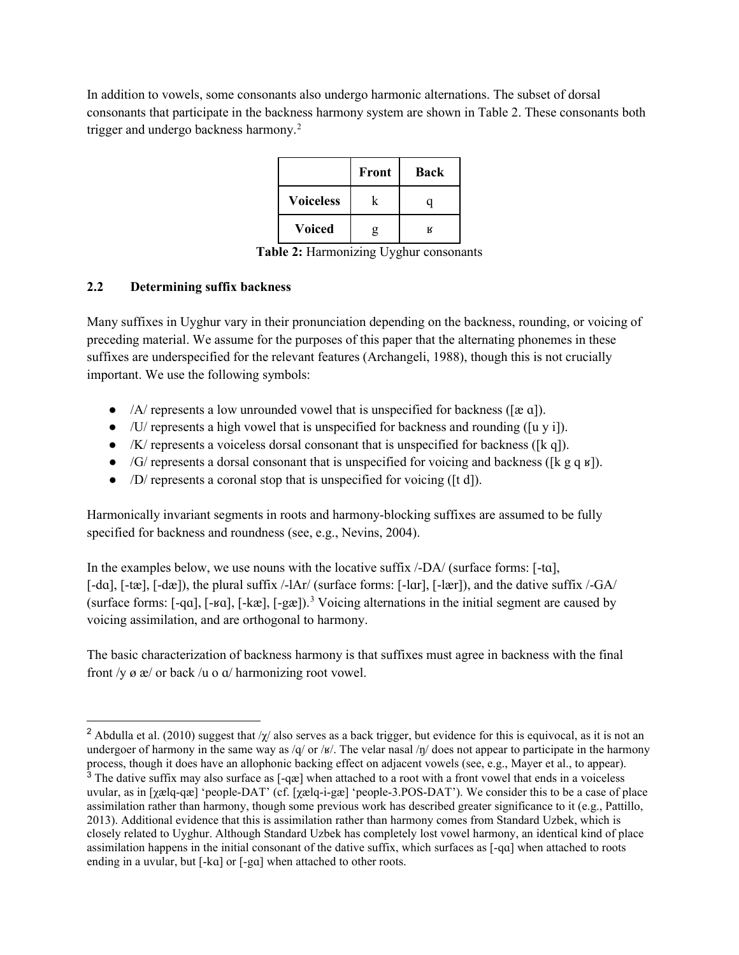In addition to vowels, some consonants also undergo harmonic alternations. The subset of dorsal consonants that participate in the backness harmony system are shown in Table 2. These consonants both trigger and undergo backness harmony.<sup>[2](#page-2-0)</sup>

|                  | Front | <b>Back</b> |
|------------------|-------|-------------|
| <b>Voiceless</b> |       |             |
| <b>Voiced</b>    | g     | к           |

**Table 2:** Harmonizing Uyghur consonants

### **2.2 Determining suffix backness**

Many suffixes in Uyghur vary in their pronunciation depending on the backness, rounding, or voicing of preceding material. We assume for the purposes of this paper that the alternating phonemes in these suffixes are underspecified for the relevant features (Archangeli, 1988), though this is not crucially important. We use the following symbols:

- $\bullet$  /A/ represents a low unrounded vowel that is unspecified for backness ([æ a]).
- $\bullet$  /U/ represents a high vowel that is unspecified for backness and rounding ([u y i]).
- $\bullet$  /K/ represents a voiceless dorsal consonant that is unspecified for backness ([k q]).
- $\bullet$  /G/ represents a dorsal consonant that is unspecified for voicing and backness ([k g q  $\alpha$ ]).
- /D/ represents a coronal stop that is unspecified for voicing ([t d]).

Harmonically invariant segments in roots and harmony-blocking suffixes are assumed to be fully specified for backness and roundness (see, e.g., Nevins, 2004).

In the examples below, we use nouns with the locative suffix  $\langle$ -DA $\rangle$  (surface forms: [-ta], [-dɑ], [-tæ], [-dæ]), the plural suffix /-lAr/ (surface forms: [-lɑr], [-lær]), and the dative suffix /-GA/ (surface forms: [-qɑ], [-ʁɑ], [-kæ], [-gæ]).[3](#page-2-1) Voicing alternations in the initial segment are caused by voicing assimilation, and are orthogonal to harmony.

The basic characterization of backness harmony is that suffixes must agree in backness with the final front  $/y$   $\alpha$   $\alpha$  or back  $/u$  o  $\alpha$  harmonizing root vowel.

<span id="page-2-0"></span><sup>&</sup>lt;sup>2</sup> Abdulla et al. (2010) suggest that / $\gamma$  also serves as a back trigger, but evidence for this is equivocal, as it is not an undergoer of harmony in the same way as /q/ or /ʁ/. The velar nasal /ŋ/ does not appear to participate in the harmony process, though it does have an allophonic backing effect on adjacent vowels (see, e.g., Mayer et al., to appear).

<span id="page-2-1"></span><sup>&</sup>lt;sup>3</sup> The dative suffix may also surface as  $[-q\infty]$  when attached to a root with a front vowel that ends in a voiceless uvular, as in [χælq-qæ] 'people-DAT' (cf. [χælq-i-gæ] 'people-3.POS-DAT'). We consider this to be a case of place assimilation rather than harmony, though some previous work has described greater significance to it (e.g., Pattillo, 2013). Additional evidence that this is assimilation rather than harmony comes from Standard Uzbek, which is closely related to Uyghur. Although Standard Uzbek has completely lost vowel harmony, an identical kind of place assimilation happens in the initial consonant of the dative suffix, which surfaces as [-qɑ] when attached to roots ending in a uvular, but [-kɑ] or [-gɑ] when attached to other roots.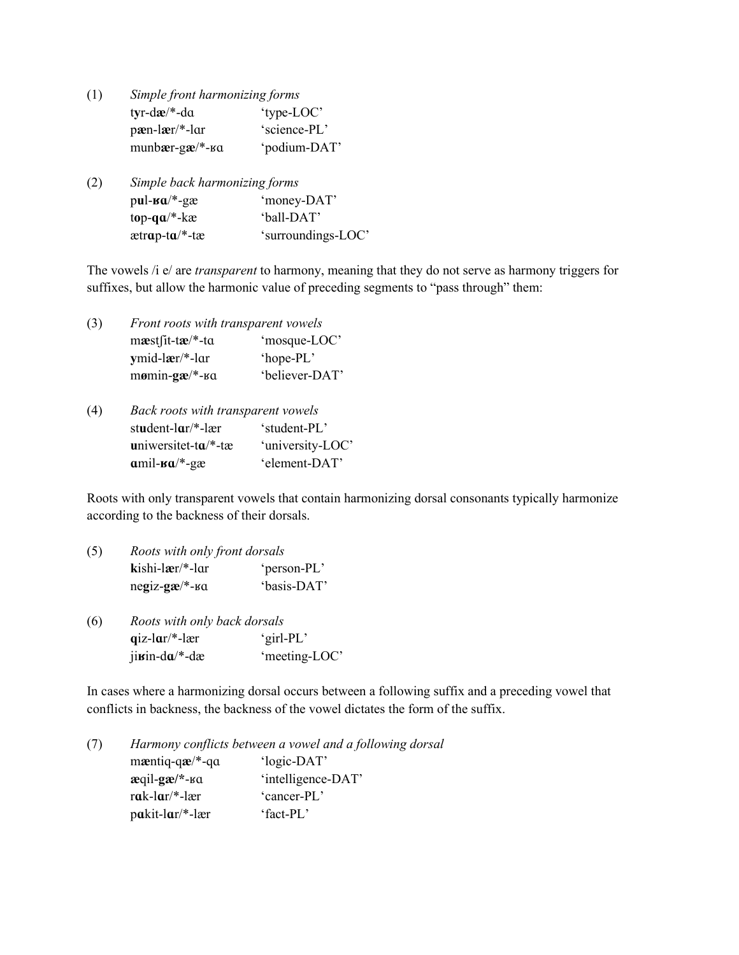- (1) *Simple front harmonizing forms* t**y**r-d**æ**/\*-dɑ 'type-LOC' p**æ**n-l**æ**r/\*-lɑr 'science-PL' munb**æ**r-g**æ**/\*-ʁɑ 'podium-DAT'
- (2) *Simple back harmonizing forms* p**u**l-**ʁɑ**/\*-gæ 'money-DAT' t**o**p-**qɑ**/\*-kæ 'ball-DAT' ætr**ɑ**p-t**ɑ**/\*-tæ 'surroundings-LOC'

The vowels /i e/ are *transparent* to harmony, meaning that they do not serve as harmony triggers for suffixes, but allow the harmonic value of preceding segments to "pass through" them:

(3) *Front roots with transparent vowels* m**æ**stʃit-t**æ**/\*-tɑ 'mosque-LOC' **y**mid-l**æ**r/\*-lɑr 'hope-PL' m**ø**min-**gæ**/\*-ʁɑ 'believer-DAT'

| (4) | Back roots with transparent vowels |                  |  |  |  |  |
|-----|------------------------------------|------------------|--|--|--|--|
|     | student- $\arctan^{-1}$ -lær       | 'student-PL'     |  |  |  |  |
|     | uniwersitet-t $a$ <sup>*</sup> -tæ | 'university-LOC' |  |  |  |  |
|     | $amil$ - $a^{*}$ -gæ               | 'element-DAT'    |  |  |  |  |

Roots with only transparent vowels that contain harmonizing dorsal consonants typically harmonize according to the backness of their dorsals.

- (5) *Roots with only front dorsals* **k**ishi-l**æ**r/\*-lɑr 'person-PL' ne**g**iz-**gæ**/\*-ʁɑ 'basis-DAT'
- (6) *Roots with only back dorsals* **q**iz-l**ɑ**r/\*-lær 'girl-PL' ji**ʁ**in-d**ɑ**/\*-dæ 'meeting-LOC'

In cases where a harmonizing dorsal occurs between a following suffix and a preceding vowel that conflicts in backness, the backness of the vowel dictates the form of the suffix.

(7) *Harmony conflicts between a vowel and a following dorsal* m**æ**ntiq-q**æ**/\*-qɑ 'logic-DAT' **æ**qil-**gæ/\***-ʁɑ 'intelligence-DAT' r**ɑ**k-l**ɑ**r/\*-lær 'cancer-PL' p**ɑ**kit-l**ɑ**r/\*-lær 'fact-PL'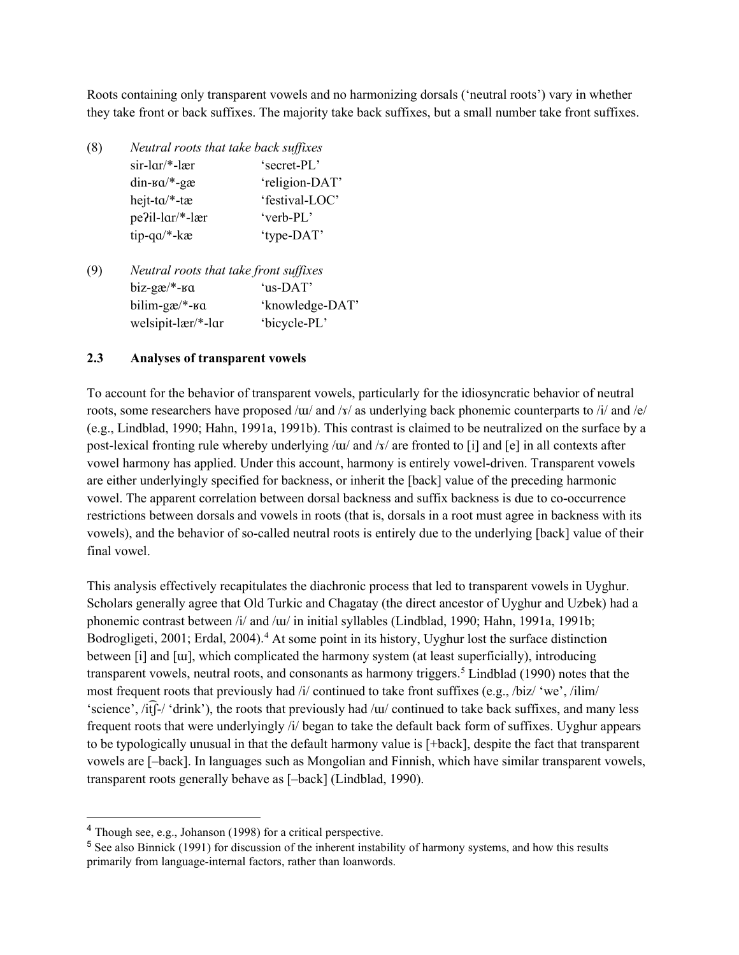Roots containing only transparent vowels and no harmonizing dorsals ('neutral roots') vary in whether they take front or back suffixes. The majority take back suffixes, but a small number take front suffixes.

| (8) | Neutral roots that take back suffixes  |                |  |  |  |  |  |
|-----|----------------------------------------|----------------|--|--|--|--|--|
|     | $sir-lar/*-ler$                        | 'secret-PL'    |  |  |  |  |  |
|     | $din$ - $sa$ <sup>*</sup> - $g$ æ      | 'religion-DAT' |  |  |  |  |  |
|     | hejt-ta/*-tæ                           | 'festival-LOC' |  |  |  |  |  |
|     | pe?il-lar/*-lær                        | 'verb-PL'      |  |  |  |  |  |
|     | $tip$ -q $a$ /*- $ka$                  | 'type-DAT'     |  |  |  |  |  |
|     |                                        |                |  |  |  |  |  |
| (9) | Neutral roots that take front suffixes |                |  |  |  |  |  |

biz-gæ/\*-ʁɑ 'us-DAT' bilim-gæ/\*-ʁɑ 'knowledge-DAT' welsipit-lær/\*-lɑr 'bicycle-PL'

### **2.3 Analyses of transparent vowels**

To account for the behavior of transparent vowels, particularly for the idiosyncratic behavior of neutral roots, some researchers have proposed /ɯ/ and /ɤ/ as underlying back phonemic counterparts to /i/ and /e/ (e.g., Lindblad, 1990; Hahn, 1991a, 1991b). This contrast is claimed to be neutralized on the surface by a post-lexical fronting rule whereby underlying /ɯ/ and /ɤ/ are fronted to [i] and [e] in all contexts after vowel harmony has applied. Under this account, harmony is entirely vowel-driven. Transparent vowels are either underlyingly specified for backness, or inherit the [back] value of the preceding harmonic vowel. The apparent correlation between dorsal backness and suffix backness is due to co-occurrence restrictions between dorsals and vowels in roots (that is, dorsals in a root must agree in backness with its vowels), and the behavior of so-called neutral roots is entirely due to the underlying [back] value of their final vowel.

This analysis effectively recapitulates the diachronic process that led to transparent vowels in Uyghur. Scholars generally agree that Old Turkic and Chagatay (the direct ancestor of Uyghur and Uzbek) had a phonemic contrast between /i/ and /ɯ/ in initial syllables (Lindblad, 1990; Hahn, 1991a, 1991b; Bodrogligeti, 2001; Erdal, 200[4](#page-4-0)).<sup>4</sup> At some point in its history, Uyghur lost the surface distinction between [i] and [ɯ], which complicated the harmony system (at least superficially), introducing transparent vowels, neutral roots, and consonants as harmony triggers.<sup>[5](#page-4-1)</sup> Lindblad (1990) notes that the most frequent roots that previously had /i/ continued to take front suffixes (e.g., /biz/ 'we', /ilim/ 'science', /itf $f$ -/ 'drink'), the roots that previously had /ɯ/ continued to take back suffixes, and many less frequent roots that were underlyingly /i/ began to take the default back form of suffixes. Uyghur appears to be typologically unusual in that the default harmony value is [+back], despite the fact that transparent vowels are [–back]. In languages such as Mongolian and Finnish, which have similar transparent vowels, transparent roots generally behave as [–back] (Lindblad, 1990).

<span id="page-4-0"></span><sup>4</sup> Though see, e.g., Johanson (1998) for a critical perspective.

<span id="page-4-1"></span><sup>5</sup> See also Binnick (1991) for discussion of the inherent instability of harmony systems, and how this results primarily from language-internal factors, rather than loanwords.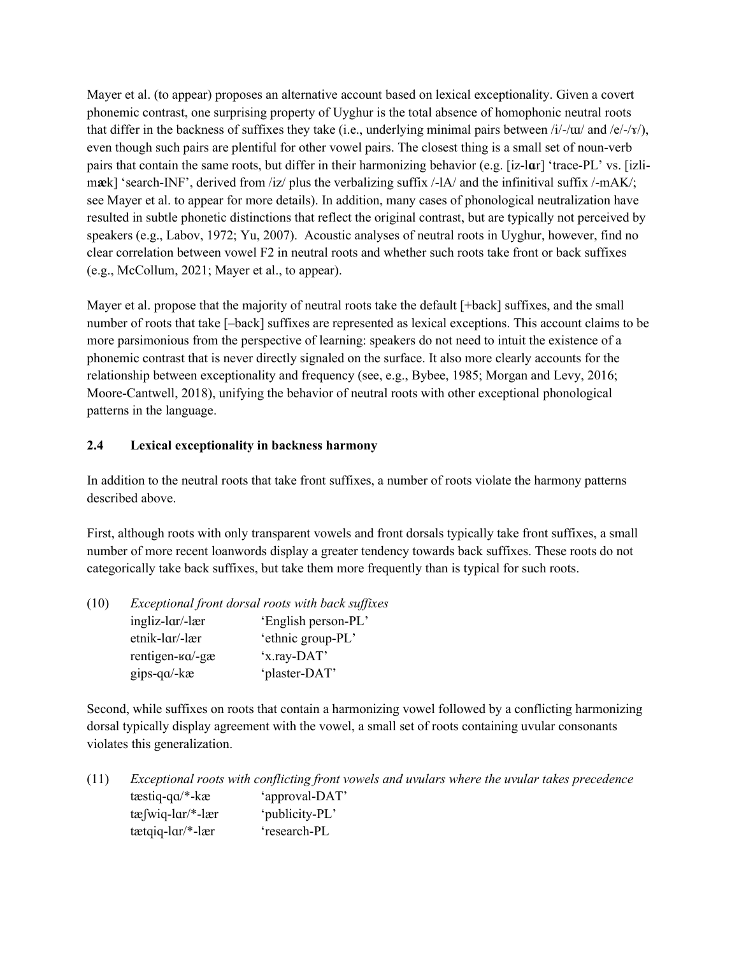Mayer et al. (to appear) proposes an alternative account based on lexical exceptionality. Given a covert phonemic contrast, one surprising property of Uyghur is the total absence of homophonic neutral roots that differ in the backness of suffixes they take (i.e., underlying minimal pairs between /i/-/ɯ/ and /e/-/x/), even though such pairs are plentiful for other vowel pairs. The closest thing is a small set of noun-verb pairs that contain the same roots, but differ in their harmonizing behavior (e.g. [iz-l**ɑ**r] 'trace-PL' vs. [izlimæk] 'search-INF', derived from /iz/ plus the verbalizing suffix /-lA/ and the infinitival suffix /-mAK/; see Mayer et al. to appear for more details). In addition, many cases of phonological neutralization have resulted in subtle phonetic distinctions that reflect the original contrast, but are typically not perceived by speakers (e.g., Labov, 1972; Yu, 2007). Acoustic analyses of neutral roots in Uyghur, however, find no clear correlation between vowel F2 in neutral roots and whether such roots take front or back suffixes (e.g., McCollum, 2021; Mayer et al., to appear).

Mayer et al. propose that the majority of neutral roots take the default [+back] suffixes, and the small number of roots that take [–back] suffixes are represented as lexical exceptions. This account claims to be more parsimonious from the perspective of learning: speakers do not need to intuit the existence of a phonemic contrast that is never directly signaled on the surface. It also more clearly accounts for the relationship between exceptionality and frequency (see, e.g., Bybee, 1985; Morgan and Levy, 2016; Moore-Cantwell, 2018), unifying the behavior of neutral roots with other exceptional phonological patterns in the language.

## **2.4 Lexical exceptionality in backness harmony**

In addition to the neutral roots that take front suffixes, a number of roots violate the harmony patterns described above.

First, although roots with only transparent vowels and front dorsals typically take front suffixes, a small number of more recent loanwords display a greater tendency towards back suffixes. These roots do not categorically take back suffixes, but take them more frequently than is typical for such roots.

| (10) | Exceptional front dorsal roots with back suffixes |                     |  |  |  |  |
|------|---------------------------------------------------|---------------------|--|--|--|--|
|      | ingliz-lar/-lær                                   | 'English person-PL' |  |  |  |  |
|      | etnik-lar/-lær                                    | 'ethnic group-PL'   |  |  |  |  |
|      | rentigen- $\alpha$ -gæ                            | 'x.ray-DAT'         |  |  |  |  |
|      | $qips-qa-kæ$                                      | 'plaster-DAT'       |  |  |  |  |

Second, while suffixes on roots that contain a harmonizing vowel followed by a conflicting harmonizing dorsal typically display agreement with the vowel, a small set of roots containing uvular consonants violates this generalization.

| (11) | Exceptional roots with conflicting front vowels and uvulars where the uvular takes precedence |                |  |  |
|------|-----------------------------------------------------------------------------------------------|----------------|--|--|
|      | $textiq-qa/*-ka$                                                                              | 'approval-DAT' |  |  |
|      | $t\mathfrak{g}$ wiq-lar/*-lær                                                                 | 'publicity-PL' |  |  |
|      | $textqiq-lar/*-ler$                                                                           | 'research-PL   |  |  |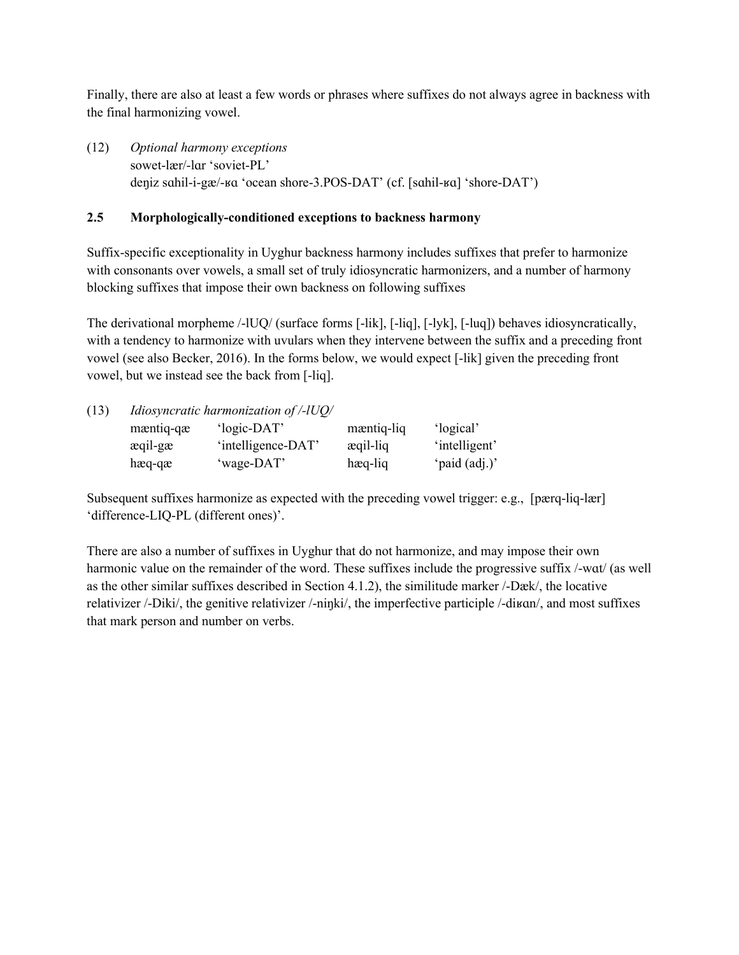Finally, there are also at least a few words or phrases where suffixes do not always agree in backness with the final harmonizing vowel.

(12) *Optional harmony exceptions* sowet-lær/-lɑr 'soviet-PL' deŋiz sɑhil-i-gæ/-ʁɑ 'ocean shore-3.POS-DAT' (cf. [sɑhil-ʁɑ] 'shore-DAT')

## **2.5 Morphologically-conditioned exceptions to backness harmony**

Suffix-specific exceptionality in Uyghur backness harmony includes suffixes that prefer to harmonize with consonants over vowels, a small set of truly idiosyncratic harmonizers, and a number of harmony blocking suffixes that impose their own backness on following suffixes

The derivational morpheme /-lUQ/ (surface forms [-lik], [-liq], [-lyk], [-luq]) behaves idiosyncratically, with a tendency to harmonize with uvulars when they intervene between the suffix and a preceding front vowel (see also Becker, 2016). In the forms below, we would expect [-lik] given the preceding front vowel, but we instead see the back from [-liq].

| (13) | Idiosyncratic harmonization of /-lUQ/ |                    |            |               |  |  |  |
|------|---------------------------------------|--------------------|------------|---------------|--|--|--|
|      | mæntiq-qæ                             | 'logic-DAT'        | mæntiq-liq | 'logical'     |  |  |  |
|      | æqil-gæ                               | 'intelligence-DAT' | æqil-liq   | 'intelligent' |  |  |  |
|      | $hæq-qæ$                              | 'wage-DAT'         | hæq-liq    | 'paid (adj.)' |  |  |  |

Subsequent suffixes harmonize as expected with the preceding vowel trigger: e.g., [pærq-liq-lær] 'difference-LIQ-PL (different ones)'.

There are also a number of suffixes in Uyghur that do not harmonize, and may impose their own harmonic value on the remainder of the word. These suffixes include the progressive suffix /-wat/ (as well as the other similar suffixes described in Section 4.1.2), the similitude marker /-Dæk/, the locative relativizer /-Diki/, the genitive relativizer /-niŋki/, the imperfective participle /-diʁɑn/, and most suffixes that mark person and number on verbs.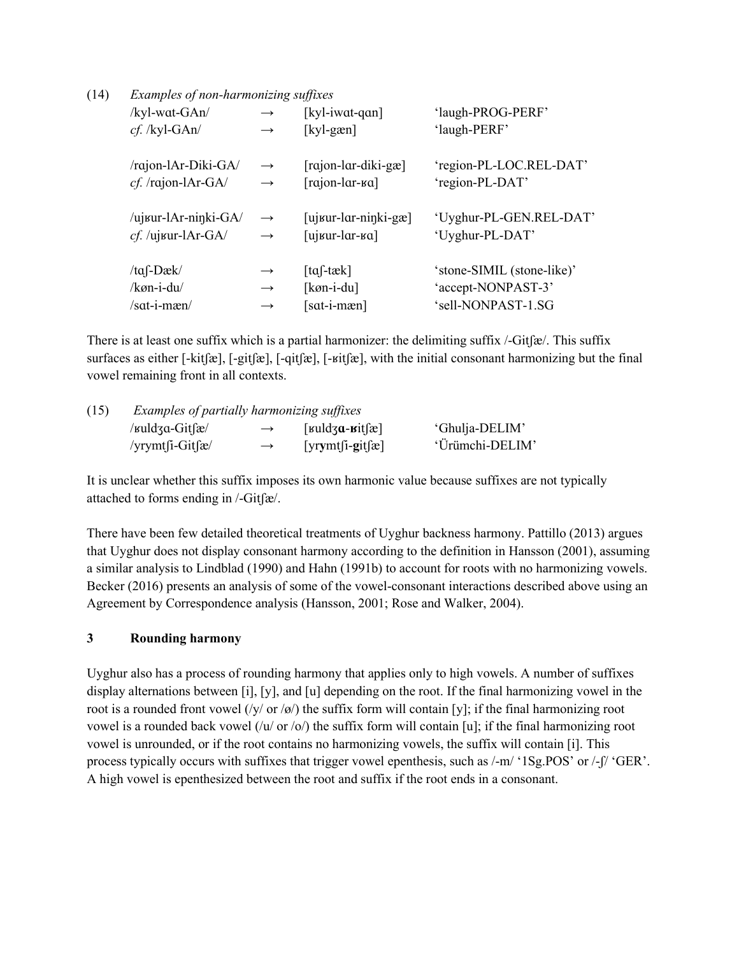| (14) | Examples of non-harmonizing suffixes |  |
|------|--------------------------------------|--|
|      |                                      |  |

| /kyl-wat-GAn/        | $\rightarrow$     | [ $kyl$ -iwat-qan]                       | 'laugh-PROG-PERF'          |
|----------------------|-------------------|------------------------------------------|----------------------------|
| $cf.$ /kyl-GAn/      | $\rightarrow$     | $[ky]$ -gæn]                             | 'laugh-PERF'               |
| /rajon-lAr-Diki-GA/  | $\longrightarrow$ | $\lceil \text{rajon-lar-diki-gæ} \rceil$ | 'region-PL-LOC.REL-DAT'    |
| cf. /rajon-lAr-GA/   | $\longrightarrow$ | $[rajon-lar-ka]$                         | 'region-PL-DAT'            |
| /ujʁur-lAr-ninki-GA/ | $\rightarrow$     | $[$ uj $_{\text{sur-lar-ninki-gæ}}]$     | 'Uyghur-PL-GEN.REL-DAT'    |
| cf. /ujvur-lAr-GA/   | $\longrightarrow$ | [ujʁur-lar-ʁa]                           | 'Uyghur-PL-DAT'            |
| / $taf$ -Dæk/        | $\rightarrow$     | $\lceil \text{ta} \rceil$ -tæk $\rceil$  | 'stone-SIMIL (stone-like)' |
| /køn-i-du/           | $\rightarrow$     | [ $køn-i-du$ ]                           | 'accept-NONPAST-3'         |
| $/sat-i-mæn/$        | $\rightarrow$     | [sat-i-mæn]                              | 'sell-NONPAST-1.SG         |

There is at least one suffix which is a partial harmonizer: the delimiting suffix /-Gitʃæ/. This suffix surfaces as either [-kitʃæ], [-gitʃæ], [-qitʃæ], [-ʁitʃæ], with the initial consonant harmonizing but the final vowel remaining front in all contexts.

| (15) | Examples of partially harmonizing suffixes            |               |                                                                     |                 |  |
|------|-------------------------------------------------------|---------------|---------------------------------------------------------------------|-----------------|--|
|      | / $\kappa$ uldza-Git $\int \frac{\epsilon}{\epsilon}$ | $\rightarrow$ | [ $\kappa$ uldz <b>a</b> - <b><math>\kappa</math></b> it $[\alpha]$ | 'Ghulja-DELIM'  |  |
|      | /yrymt $\int$ i-Git $\int$ æ/                         | $\rightarrow$ | $[\text{yrymt}[i\text{-}g\text{it}]\text{Re}]$                      | 'Ürümchi-DELIM' |  |

It is unclear whether this suffix imposes its own harmonic value because suffixes are not typically attached to forms ending in /-Gitʃæ/.

There have been few detailed theoretical treatments of Uyghur backness harmony. Pattillo (2013) argues that Uyghur does not display consonant harmony according to the definition in Hansson (2001), assuming a similar analysis to Lindblad (1990) and Hahn (1991b) to account for roots with no harmonizing vowels. Becker (2016) presents an analysis of some of the vowel-consonant interactions described above using an Agreement by Correspondence analysis (Hansson, 2001; Rose and Walker, 2004).

## **3 Rounding harmony**

Uyghur also has a process of rounding harmony that applies only to high vowels. A number of suffixes display alternations between [i], [y], and [u] depending on the root. If the final harmonizing vowel in the root is a rounded front vowel  $(\sqrt{y} / or / \omega)$  the suffix form will contain [y]; if the final harmonizing root vowel is a rounded back vowel (/u/ or /o/) the suffix form will contain [u]; if the final harmonizing root vowel is unrounded, or if the root contains no harmonizing vowels, the suffix will contain [i]. This process typically occurs with suffixes that trigger vowel epenthesis, such as /-m/ '1Sg.POS' or /-ʃ/ 'GER'. A high vowel is epenthesized between the root and suffix if the root ends in a consonant.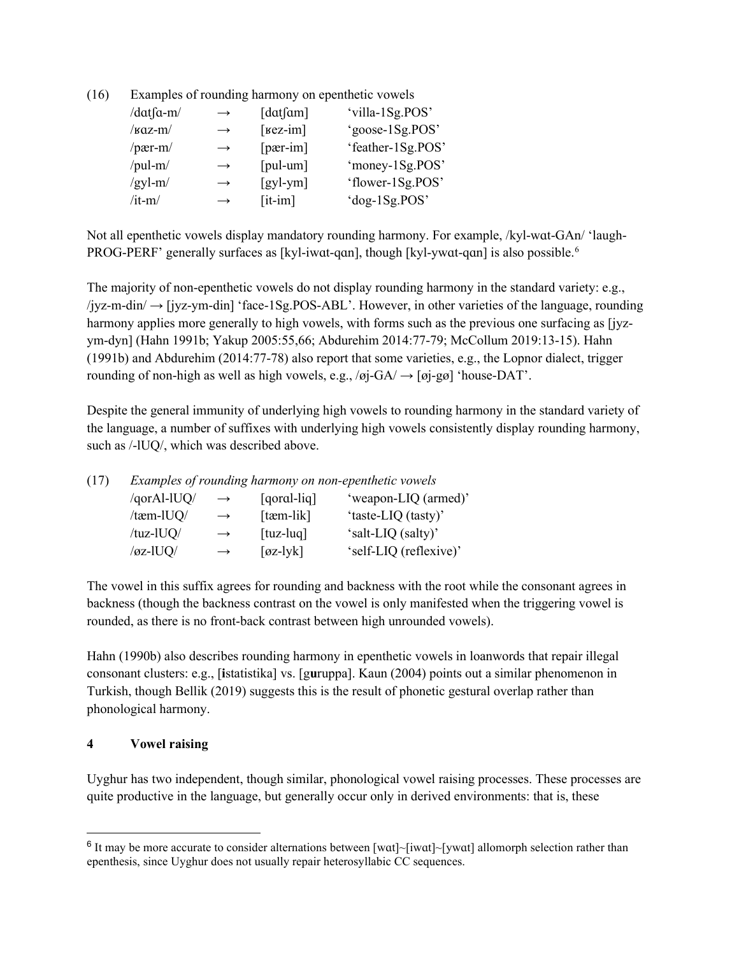(16) Examples of rounding harmony on epenthetic vowels

| /dat $\int$ a-m/ | $\rightarrow$ | $\lceil \text{dat} \rceil$                 | 'villa-1Sg.POS'   |
|------------------|---------------|--------------------------------------------|-------------------|
| $/\text{kaz-m}/$ | $\rightarrow$ | $[kez-im]$                                 | 'goose-1Sg.POS'   |
| $/$ pær-m $/$    | $\rightarrow$ | $[per-im]$                                 | 'feather-1Sg.POS' |
| /pul-m/          | $\rightarrow$ | $[{\text{pul-um}}]$                        | 'money-1Sg.POS'   |
| $/gyl-m/$        | $\rightarrow$ | $\left[\frac{\text{gy}}{\text{ym}}\right]$ | 'flower-1Sg.POS'  |
| $/$ it-m $/$     | $\rightarrow$ | $[it-im]$                                  | 'dog-1Sg.POS'     |

Not all epenthetic vowels display mandatory rounding harmony. For example, /kyl-wɑt-GAn/ 'laugh-PROG-PERF' generally surfaces as [kyl-iwɑt-qɑn], though [kyl-ywɑt-qɑn] is also possible.<sup>[6](#page-8-0)</sup>

The majority of non-epenthetic vowels do not display rounding harmony in the standard variety: e.g., /jyz-m-din/ → [jyz-ym-din] 'face-1Sg.POS-ABL'. However, in other varieties of the language, rounding harmony applies more generally to high vowels, with forms such as the previous one surfacing as [jyzym-dyn] (Hahn 1991b; Yakup 2005:55,66; Abdurehim 2014:77-79; McCollum 2019:13-15). Hahn (1991b) and Abdurehim (2014:77-78) also report that some varieties, e.g., the Lopnor dialect, trigger rounding of non-high as well as high vowels, e.g.,  $\overline{\overline{q}}$   $\overline{\overline{G}}$ A $\overline{\overline{q}}$   $\overline{\overline{q}}$   $\overline{\overline{q}}$  'house-DAT'.

Despite the general immunity of underlying high vowels to rounding harmony in the standard variety of the language, a number of suffixes with underlying high vowels consistently display rounding harmony, such as /-lUQ/, which was described above.

| (17) | Examples of rounding harmony on non-epenthetic vowels |               |                                      |                        |  |  |
|------|-------------------------------------------------------|---------------|--------------------------------------|------------------------|--|--|
|      | /qorAl-lUQ/                                           | $\rightarrow$ | $[qoral-liq]$                        | 'weapon-LIQ (armed)'   |  |  |
|      | /tæm-lUQ/                                             | $\rightarrow$ | $[$ tæm-lik $]$                      | 'taste-LIQ (tasty)'    |  |  |
|      | /tuz-lUQ/                                             | $\rightarrow$ | $[{\rm tuz-luq}]$                    | 'salt-LIQ (salty)'     |  |  |
|      | $\sqrt{\alpha z}$ -lUQ/                               | $\rightarrow$ | $\lceil \varphi z - l \vee k \rceil$ | 'self-LIQ (reflexive)' |  |  |

The vowel in this suffix agrees for rounding and backness with the root while the consonant agrees in backness (though the backness contrast on the vowel is only manifested when the triggering vowel is rounded, as there is no front-back contrast between high unrounded vowels).

Hahn (1990b) also describes rounding harmony in epenthetic vowels in loanwords that repair illegal consonant clusters: e.g., [**i**statistika] vs. [g**u**ruppa]. Kaun (2004) points out a similar phenomenon in Turkish, though Bellik (2019) suggests this is the result of phonetic gestural overlap rather than phonological harmony.

### **4 Vowel raising**

Uyghur has two independent, though similar, phonological vowel raising processes. These processes are quite productive in the language, but generally occur only in derived environments: that is, these

<span id="page-8-0"></span><sup>&</sup>lt;sup>6</sup> It may be more accurate to consider alternations between [wɑt]~[iwɑt]~[ywɑt] allomorph selection rather than epenthesis, since Uyghur does not usually repair heterosyllabic CC sequences.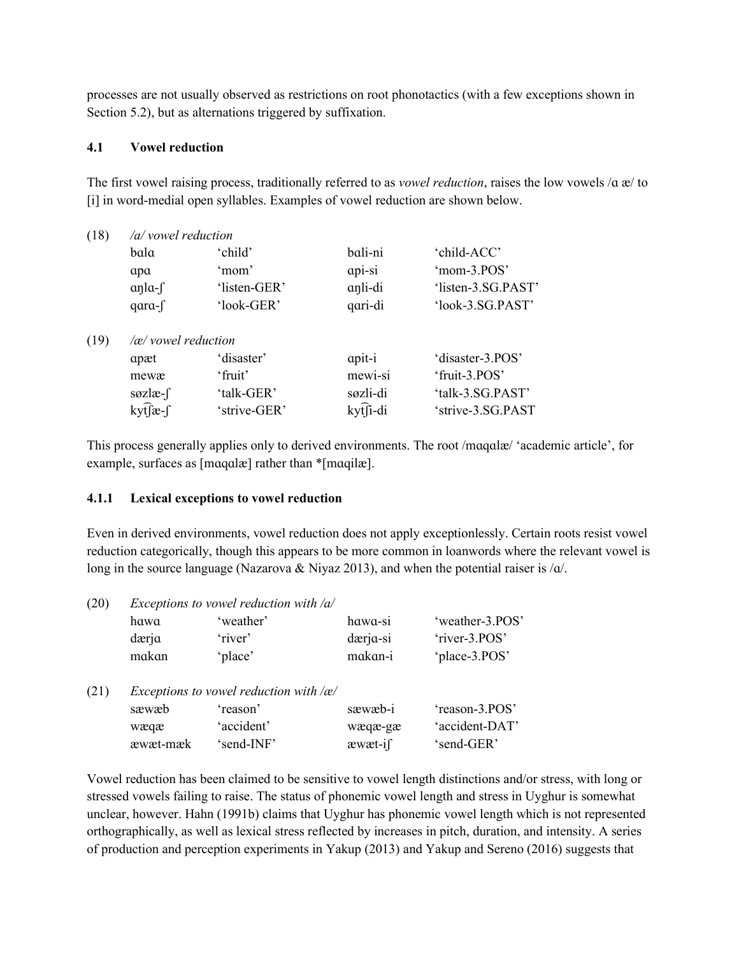processes are not usually observed as restrictions on root phonotactics (with a few exceptions shown in Section 5.2), but as alternations triggered by suffixation.

### **4.1 Vowel reduction**

The first vowel raising process, traditionally referred to as *vowel reduction*, raises the low vowels /ɑ æ/ to [i] in word-medial open syllables. Examples of vowel reduction are shown below.

| /a/ vowel reduction |  |  |  |  |  |
|---------------------|--|--|--|--|--|
|                     |  |  |  |  |  |
| 'mom-3.POS'         |  |  |  |  |  |
| 'listen-3.SG.PAST'  |  |  |  |  |  |
| 'look-3.SG.PAST'    |  |  |  |  |  |
|                     |  |  |  |  |  |
| 'disaster-3.POS'    |  |  |  |  |  |
|                     |  |  |  |  |  |
| 'talk-3.SG.PAST'    |  |  |  |  |  |
| 'strive-3.SG.PAST   |  |  |  |  |  |
|                     |  |  |  |  |  |

This process generally applies only to derived environments. The root /mɑqɑlæ/ 'academic article', for example, surfaces as [mɑqɑlæ] rather than \*[mɑqilæ].

#### **4.1.1 Lexical exceptions to vowel reduction**

Even in derived environments, vowel reduction does not apply exceptionlessly. Certain roots resist vowel reduction categorically, though this appears to be more common in loanwords where the relevant vowel is long in the source language (Nazarova & Niyaz 2013), and when the potential raiser is  $\alpha$ .

| (20) | Exceptions to vowel reduction with $\alpha$   |            |          |                 |  |  |
|------|-----------------------------------------------|------------|----------|-----------------|--|--|
|      | hawa                                          | 'weather'  | hawa-si  | 'weather-3.POS' |  |  |
|      | dærja                                         | 'river'    | dærja-si | 'river-3.POS'   |  |  |
|      | makan                                         | 'place'    | makan-i  | 'place-3.POS'   |  |  |
| (21) | Exceptions to vowel reduction with $\alpha$ / |            |          |                 |  |  |
|      | sæwæb                                         | 'reason'   | sæwæb-i  | 'reason-3.POS'  |  |  |
|      | wæqæ                                          | 'accident' | wæqæ-gæ  | 'accident-DAT'  |  |  |
|      | æwæt-mæk                                      | 'send-INF' | æwæt-i∫  | 'send-GER'      |  |  |

Vowel reduction has been claimed to be sensitive to vowel length distinctions and/or stress, with long or stressed vowels failing to raise. The status of phonemic vowel length and stress in Uyghur is somewhat unclear, however. Hahn (1991b) claims that Uyghur has phonemic vowel length which is not represented orthographically, as well as lexical stress reflected by increases in pitch, duration, and intensity. A series of production and perception experiments in Yakup (2013) and Yakup and Sereno (2016) suggests that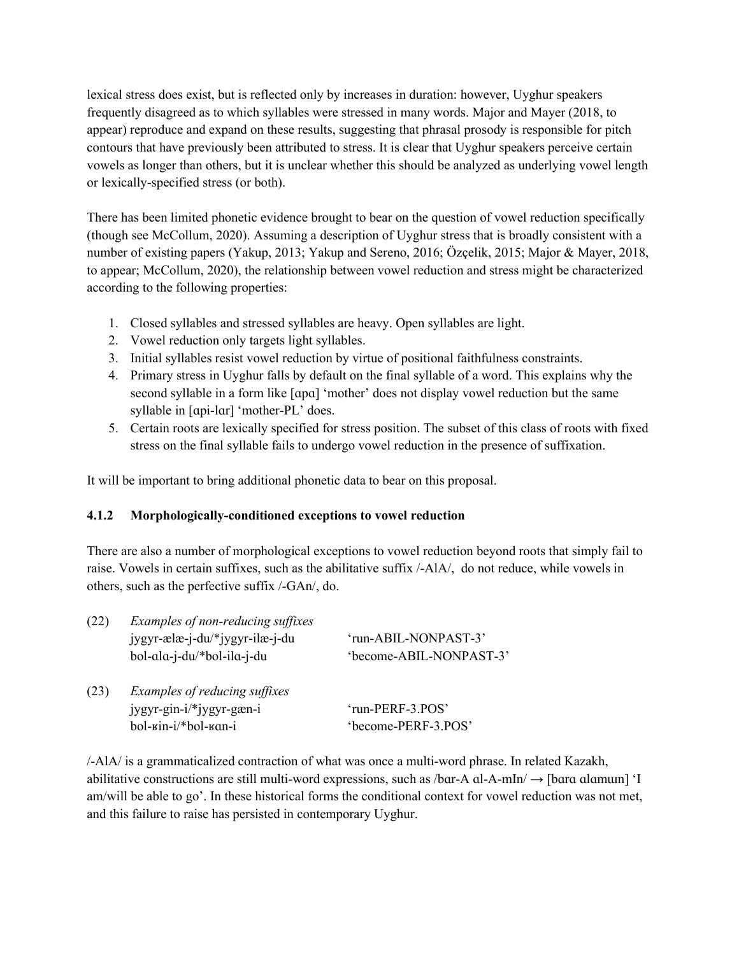lexical stress does exist, but is reflected only by increases in duration: however, Uyghur speakers frequently disagreed as to which syllables were stressed in many words. Major and Mayer (2018, to appear) reproduce and expand on these results, suggesting that phrasal prosody is responsible for pitch contours that have previously been attributed to stress. It is clear that Uyghur speakers perceive certain vowels as longer than others, but it is unclear whether this should be analyzed as underlying vowel length or lexically-specified stress (or both).

There has been limited phonetic evidence brought to bear on the question of vowel reduction specifically (though see McCollum, 2020). Assuming a description of Uyghur stress that is broadly consistent with a number of existing papers (Yakup, 2013; Yakup and Sereno, 2016; Özçelik, 2015; Major & Mayer, 2018, to appear; McCollum, 2020), the relationship between vowel reduction and stress might be characterized according to the following properties:

- 1. Closed syllables and stressed syllables are heavy. Open syllables are light.
- 2. Vowel reduction only targets light syllables.
- 3. Initial syllables resist vowel reduction by virtue of positional faithfulness constraints.
- 4. Primary stress in Uyghur falls by default on the final syllable of a word. This explains why the second syllable in a form like [ɑpɑ] 'mother' does not display vowel reduction but the same syllable in [ɑpi-lɑr] 'mother-PL' does.
- 5. Certain roots are lexically specified for stress position. The subset of this class of roots with fixed stress on the final syllable fails to undergo vowel reduction in the presence of suffixation.

It will be important to bring additional phonetic data to bear on this proposal.

## **4.1.2 Morphologically-conditioned exceptions to vowel reduction**

There are also a number of morphological exceptions to vowel reduction beyond roots that simply fail to raise. Vowels in certain suffixes, such as the abilitative suffix /-AlA/, do not reduce, while vowels in others, such as the perfective suffix /-GAn/, do.

| Examples of non-reducing suffixes    |                         |  |  |  |
|--------------------------------------|-------------------------|--|--|--|
| jygyr-ælæ-j-du/*jygyr-ilæ-j-du       | 'run-ABIL-NONPAST-3'    |  |  |  |
| bol-ala-j-du/*bol-ila-j-du           | 'become-ABIL-NONPAST-3' |  |  |  |
| Examples of reducing suffixes        |                         |  |  |  |
| jygyr-gin-i/*jygyr-gæn-i             | 'run-PERF-3.POS'        |  |  |  |
| $bol-\text{kin}-i/*bol-\text{K}an-i$ | 'become-PERF-3.POS'     |  |  |  |
|                                      |                         |  |  |  |

/-AlA/ is a grammaticalized contraction of what was once a multi-word phrase. In related Kazakh, abilitative constructions are still multi-word expressions, such as  $/bar-A$  al-A-mIn $/ \rightarrow$  [bara alamun] 'I am/will be able to go'. In these historical forms the conditional context for vowel reduction was not met, and this failure to raise has persisted in contemporary Uyghur.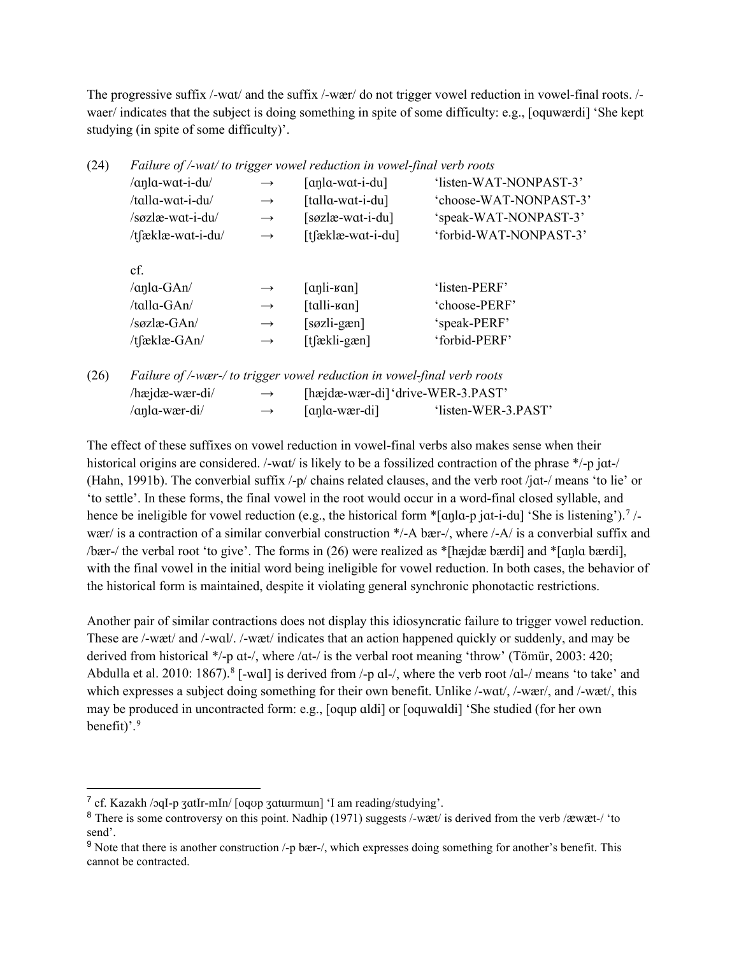The progressive suffix /-wɑt/ and the suffix /-wær/ do not trigger vowel reduction in vowel-final roots. / waer/ indicates that the subject is doing something in spite of some difficulty: e.g., [oquwærdi] 'She kept studying (in spite of some difficulty)'.

| (24) |                                |               | Failure of /-wat/ to trigger vowel reduction in vowel-final verb roots |                        |
|------|--------------------------------|---------------|------------------------------------------------------------------------|------------------------|
|      | /anla-wat-i-du/                | $\rightarrow$ | $\lceil$ anla-wat-i-du $\rceil$                                        | 'listen-WAT-NONPAST-3' |
|      | /talla-wat-i-du/               | $\rightarrow$ | [talla-wat-i-du]                                                       | 'choose-WAT-NONPAST-3' |
|      | /søzlæ-wat-i-du/               | $\rightarrow$ | [søzlæ-wat-i-du]                                                       | 'speak-WAT-NONPAST-3'  |
|      | /tfæklæ-wat-i-du/              | $\rightarrow$ | [tfæklæ-wat-i-du]                                                      | 'forbid-WAT-NONPAST-3' |
|      | cf.                            |               |                                                                        |                        |
|      | $\alpha$ na-GAn/               | $\rightarrow$ | $[\alpha$ nli- $\alpha$ n]                                             | 'listen-PERF'          |
|      | $/$ talla-GAn $/$              | $\rightarrow$ | $[talli-van]$                                                          | 'choose-PERF'          |
|      | $/s$ $\alpha$ zlæ-GAn $\alpha$ | $\rightarrow$ | $[sozli-gæn]$                                                          | 'speak-PERF'           |
|      | /tfæklæ-GAn/                   | $\rightarrow$ | [tʃækli-gæn]                                                           | 'forbid-PERF'          |
|      |                                |               |                                                                        |                        |
|      |                                |               |                                                                        |                        |

| (26) | Failure of /-wær-/ to trigger vowel reduction in vowel-final verb roots |               |               |                                   |
|------|-------------------------------------------------------------------------|---------------|---------------|-----------------------------------|
|      | $/$ hæjdæ-wær-di $/$                                                    | $\rightarrow$ |               | [hæjdæ-wær-di] 'drive-WER-3.PAST' |
|      | /anla-wær-di/                                                           | $\rightarrow$ | [anla-wær-di] | 'listen-WER-3.PAST'               |

The effect of these suffixes on vowel reduction in vowel-final verbs also makes sense when their historical origins are considered. /-wat/ is likely to be a fossilized contraction of the phrase \*/-p jat-/ (Hahn, 1991b). The converbial suffix /-p/ chains related clauses, and the verb root /jɑt-/ means 'to lie' or 'to settle'. In these forms, the final vowel in the root would occur in a word-final closed syllable, and hence be ineligible for vowel reduction (e.g., the historical form \*[an]a-p jat-i-du] 'She is listening').<sup>[7](#page-11-0)</sup>/wær/ is a contraction of a similar converbial construction \*/-A bær-/, where /-A/ is a converbial suffix and /bær-/ the verbal root 'to give'. The forms in (26) were realized as \*[hæjdæ bærdi] and \*[ɑŋlɑ bærdi], with the final vowel in the initial word being ineligible for vowel reduction. In both cases, the behavior of the historical form is maintained, despite it violating general synchronic phonotactic restrictions.

Another pair of similar contractions does not display this idiosyncratic failure to trigger vowel reduction. These are /-wæt/ and /-wɑl/. /-wæt/ indicates that an action happened quickly or suddenly, and may be derived from historical \*/-p at-/, where /at-/ is the verbal root meaning 'throw' (Tömür, 2003: 420; Abdulla et al. 2010: 1[8](#page-11-1)67).<sup>8</sup> [-wal] is derived from /-p al-/, where the verb root /al-/ means 'to take' and which expresses a subject doing something for their own benefit. Unlike /-wat/, /-wær/, and /-wæt/, this may be produced in uncontracted form: e.g., [oqup ɑldi] or [oquwɑldi] 'She studied (for her own benefit)'.[9](#page-11-2)

<span id="page-11-0"></span><sup>7</sup> cf. Kazakh /ɔqI-p ʒɑtIr-mIn/ [oqʊp ʒɑtɯrmɯn] 'I am reading/studying'.

<span id="page-11-1"></span><sup>&</sup>lt;sup>8</sup> There is some controversy on this point. Nadhip (1971) suggests /-wæt/ is derived from the verb /æwæt-/ 'to send'.

<span id="page-11-2"></span><sup>9</sup> Note that there is another construction /-p bær-/, which expresses doing something for another's benefit. This cannot be contracted.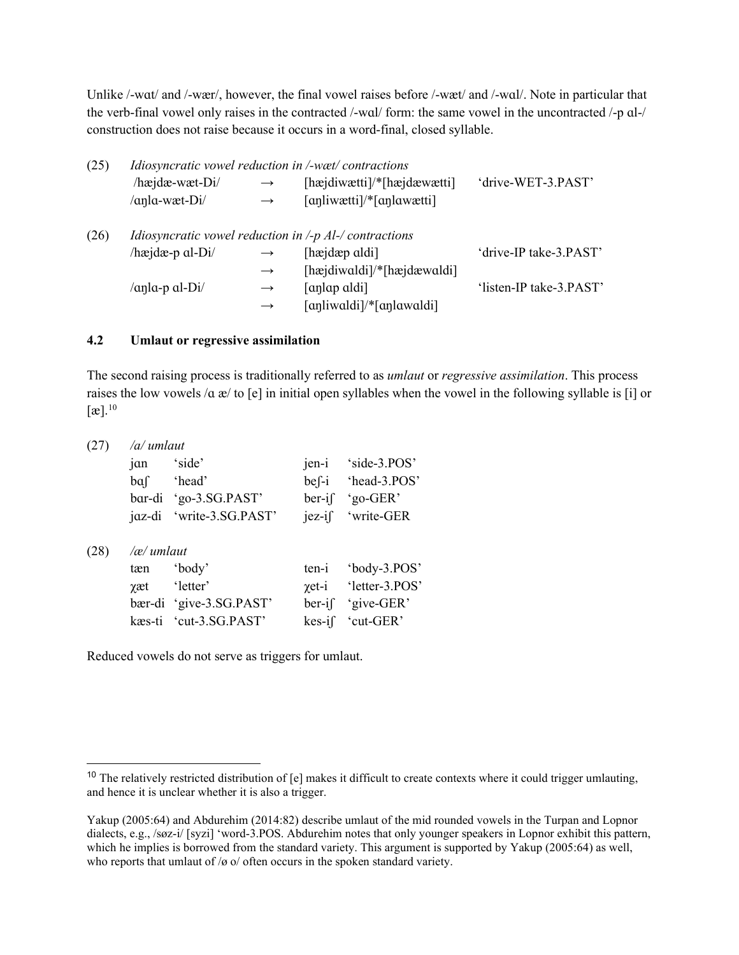Unlike /-wat/ and /-wær/, however, the final vowel raises before /-wæt/ and /-wal/. Note in particular that the verb-final vowel only raises in the contracted /-wɑl/ form: the same vowel in the uncontracted /-p ɑl-/ construction does not raise because it occurs in a word-final, closed syllable.

| (25) |                                                                                 |                   | Idiosyncratic vowel reduction in /-wæt/ contractions                 |                         |  |
|------|---------------------------------------------------------------------------------|-------------------|----------------------------------------------------------------------|-------------------------|--|
|      | $/$ hæjdæ-wæt-Di $/$                                                            | $\longrightarrow$ | [hæjdiwætti]/*[hæjdæwætti]                                           | 'drive-WET-3.PAST'      |  |
|      | /anla-wæt-Di/                                                                   | $\longrightarrow$ | $\lceil$ anliwætti $\rceil$ <sup>*</sup> $\lceil$ anlawætti $\rceil$ |                         |  |
| (26) | <i>Idiosyncratic vowel reduction in <math>\text{-}p</math> Al-/contractions</i> |                   |                                                                      |                         |  |
|      | /hæjdæ-p $al-Di/$                                                               | $\longrightarrow$ | [hæjdæp aldi]                                                        | 'drive-IP take-3.PAST'  |  |
|      |                                                                                 | $\rightarrow$     | [hæjdiwaldi]/*[hæjdæwaldi]                                           |                         |  |
|      | /anla-p al-Di/                                                                  | $\rightarrow$     | [anlap aldi]                                                         | 'listen-IP take-3.PAST' |  |
|      |                                                                                 | $\rightarrow$     | [anliwaldi]/*[anlawaldi]                                             |                         |  |

### **4.2 Umlaut or regressive assimilation**

The second raising process is traditionally referred to as *umlaut* or *regressive assimilation*. This process raises the low vowels /ɑ æ/ to [e] in initial open syllables when the vowel in the following syllable is [i] or  $\lceil \mathcal{E} \rceil$ .<sup>[10](#page-12-0)</sup>

| $(27)$ /a/ umlaut |                          |  |                             |  |  |
|-------------------|--------------------------|--|-----------------------------|--|--|
| jan 'side'        |                          |  | jen-i 'side-3.POS'          |  |  |
|                   | baf 'head'               |  | bef-i 'head-3.POS'          |  |  |
|                   | $bar-di$ 'go-3.SG.PAST'  |  | $\text{ber-}i\int$ 'go-GER' |  |  |
|                   | jaz-di 'write-3.SG.PAST' |  | jez-if 'write-GER           |  |  |
|                   |                          |  |                             |  |  |
|                   |                          |  |                             |  |  |

| (28)<br>/æ/ umlaut |  |
|--------------------|--|
|--------------------|--|

| tæn | 'body'                  | ten-i 'body-3.POS'             |
|-----|-------------------------|--------------------------------|
|     | <i>γ</i> æt 'letter'    | $\gamma$ et-i 'letter-3.POS'   |
|     | bær-di 'give-3.SG.PAST' | $\text{ber-i} \int$ 'give-GER' |
|     | kæs-ti 'cut-3.SG.PAST'  | $\text{kes-i}$ 'cut-GER'       |

Reduced vowels do not serve as triggers for umlaut.

<span id="page-12-0"></span><sup>&</sup>lt;sup>10</sup> The relatively restricted distribution of  $[e]$  makes it difficult to create contexts where it could trigger umlauting, and hence it is unclear whether it is also a trigger.

Yakup (2005:64) and Abdurehim (2014:82) describe umlaut of the mid rounded vowels in the Turpan and Lopnor dialects, e.g., /søz-i/ [syzi] 'word-3.POS. Abdurehim notes that only younger speakers in Lopnor exhibit this pattern, which he implies is borrowed from the standard variety. This argument is supported by Yakup (2005:64) as well, who reports that umlaut of /ø o/ often occurs in the spoken standard variety.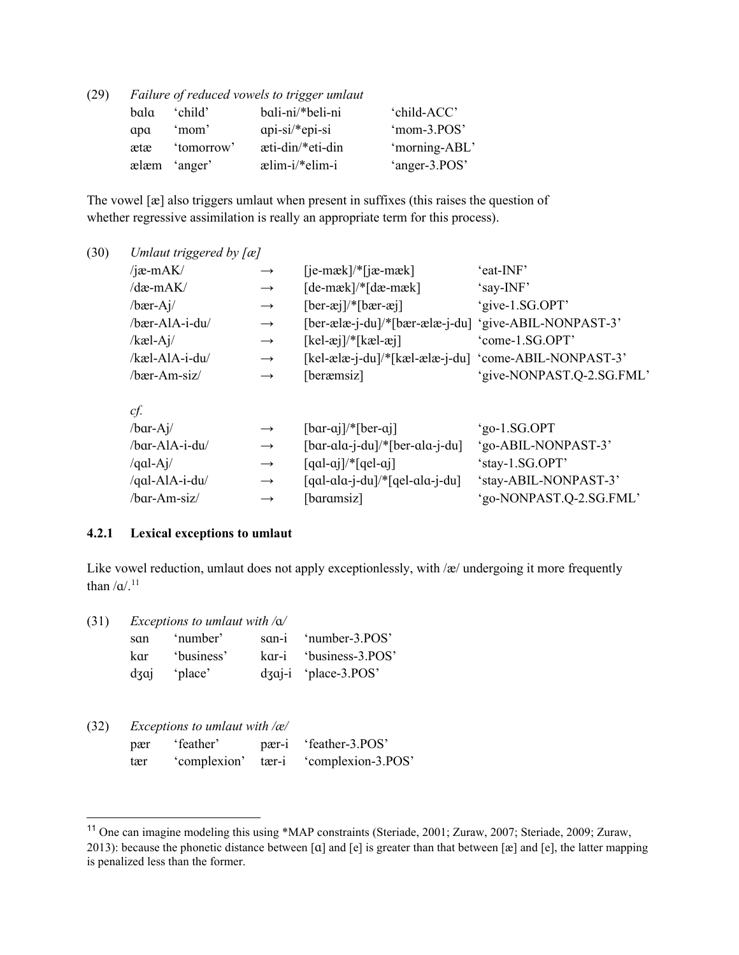| (29) |      |              | Failure of reduced vowels to trigger umlaut |               |
|------|------|--------------|---------------------------------------------|---------------|
|      | bala | 'child'      | bali-ni/*beli-ni                            | 'child-ACC'   |
|      | apa  | 'mom'        | $api-si/*epi-si$                            | 'mom-3.POS'   |
|      | ætæ  | 'tomorrow'   | æti-din/*eti-din                            | 'morning-ABL' |
|      |      | ælæm 'anger' | $\text{elim-i}$ elim-i                      | 'anger-3.POS' |

The vowel [æ] also triggers umlaut when present in suffixes (this raises the question of whether regressive assimilation is really an appropriate term for this process).

| (30) | Umlaut triggered by $[a]$ |               |                                                                            |                           |
|------|---------------------------|---------------|----------------------------------------------------------------------------|---------------------------|
|      | / $jæ-mAK/$               | $\rightarrow$ | $[iemæk]/[ia-mæk]$                                                         | 'eat-INF'                 |
|      | /dæ-mAK/                  | $\rightarrow$ | $[de-mæk]/*[dæ-mæk]$                                                       | 'say-INF'                 |
|      | $/$ bær-Aj $/$            | $\rightarrow$ | $[ber-ei]/*[bær-ei]$                                                       | 'give-1.SG.OPT'           |
|      | /bær-AlA-i-du/            | $\rightarrow$ | $[ber\text{-}ælæ\text{-}j\text{-}du]/*[bær\text{-}ælæ\text{-}j\text{-}du]$ | 'give-ABIL-NONPAST-3'     |
|      | $/kæl-Aj/$                | $\rightarrow$ | $[kel-xj]/*[kal-xj]$                                                       | 'come-1.SG.OPT'           |
|      | /kæl-AlA-i-du/            | $\rightarrow$ | [kel-ælæ-j-du]/*[kæl-ælæ-j-du] 'come-ABIL-NONPAST-3'                       |                           |
|      | $/$ bær-Am-siz $/$        | $\rightarrow$ | [beræmsiz]                                                                 | 'give-NONPAST.Q-2.SG.FML' |
|      | cf.                       |               |                                                                            |                           |
|      | $/bar-Ai/$                | $\rightarrow$ | $[bar-ai]/*[ber-ai]$                                                       | 'go-1.SG.OPT              |
|      | $/bar-AlA-i-du/$          | $\rightarrow$ | $\lceil \text{bar-ala-j-du} \rceil$ /* $\lceil \text{ber-ala-j-du} \rceil$ | 'go-ABIL-NONPAST-3'       |
|      | /qal-Aj/                  | $\rightarrow$ | $\lceil qal-aj \rceil$ /* $\lceil qel-aj \rceil$                           | 'stay-1.SG.OPT'           |
|      | /qal-AlA-i-du/            | $\rightarrow$ | $[qal-ala-j-du]/*[qel-ala-j-du]$                                           | 'stay-ABIL-NONPAST-3'     |
|      | /bar-Am-siz/              | $\rightarrow$ | [baramsiz]                                                                 | 'go-NONPAST.Q-2.SG.FML'   |

#### **4.2.1 Lexical exceptions to umlaut**

Like vowel reduction, umlaut does not apply exceptionlessly, with /æ/ undergoing it more frequently than  $/\alpha$ .<sup>[11](#page-13-0)</sup>

| san | ʻnumber'                                                                            | san-i 'number-3.POS'       |
|-----|-------------------------------------------------------------------------------------|----------------------------|
|     | kar 'business'                                                                      | kar-i 'business-3.POS'     |
|     | $\frac{d}{d}$ $\frac{d}{d}$ $\frac{d}{d}$ $\frac{d}{d}$ $\frac{d}{d}$ $\frac{d}{d}$ | $d$ zaj-i 'place-3. $POS'$ |

| (32) |              | Exceptions to umlaut with $\alpha$ |             |               |
|------|--------------|------------------------------------|-------------|---------------|
|      | $n \infty r$ | $f_{\alpha\alpha}$ ther'           | $n \cdot n$ | $if$ anth $i$ |

| pær | 'feather' | pær-i 'feather-3.POS'                 |
|-----|-----------|---------------------------------------|
| tær |           | 'complexion' tær-i 'complexion-3.POS' |

<span id="page-13-0"></span><sup>11</sup> One can imagine modeling this using \*MAP constraints (Steriade, 2001; Zuraw, 2007; Steriade, 2009; Zuraw, 2013): because the phonetic distance between [ɑ] and [e] is greater than that between [æ] and [e], the latter mapping is penalized less than the former.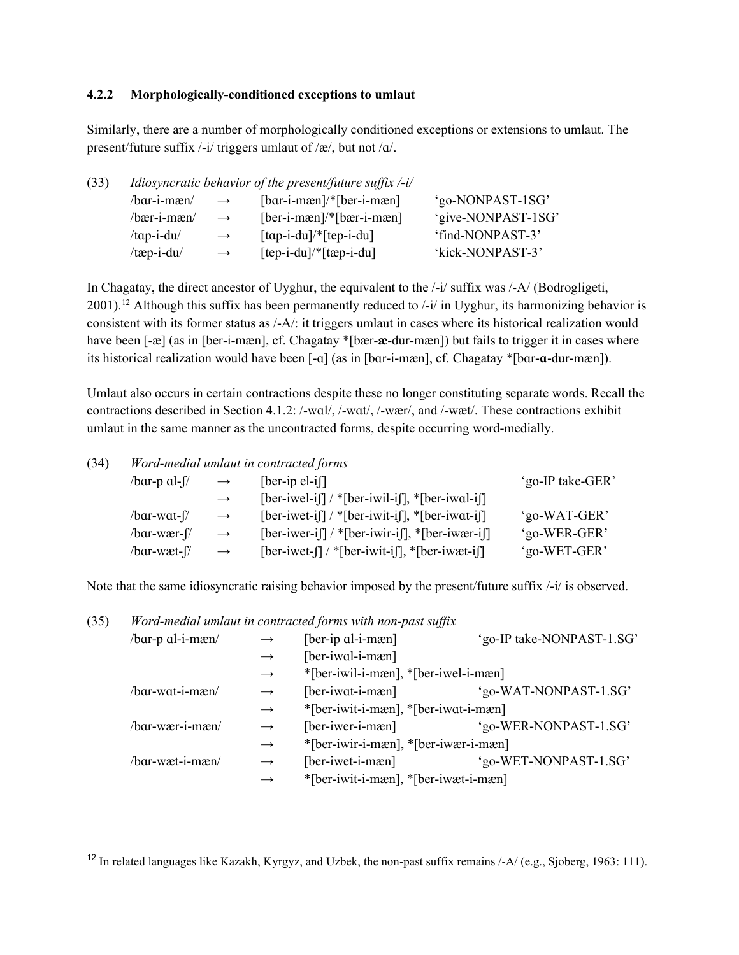### **4.2.2 Morphologically-conditioned exceptions to umlaut**

Similarly, there are a number of morphologically conditioned exceptions or extensions to umlaut. The present/future suffix /-i/ triggers umlaut of /æ/, but not /ɑ/.

| (33) |                   |               | <i>Idiosyncratic behavior of the present/future suffix <math>-i</math>/</i> |                    |
|------|-------------------|---------------|-----------------------------------------------------------------------------|--------------------|
|      | /bar-i-mæn/       | $\rightarrow$ | $[bar-i-mæn]/*[ber-i-mæn]$                                                  | 'go-NONPAST-1SG'   |
|      | $/$ bær-i-mæn $/$ | $\rightarrow$ | $[ber-i-mæn]/*[bær-i-mæn]$                                                  | 'give-NONPAST-1SG' |
|      | $/$ tap-i-du $/$  | $\rightarrow$ | $\lceil \text{tap-i-du} \rceil$ [tep-i-du]                                  | 'find-NONPAST-3'   |
|      | $/$ tæp-i-du $/$  | $\rightarrow$ | $[tep-i-du]/*[tep-i-du]$                                                    | 'kick-NONPAST-3'   |
|      |                   |               |                                                                             |                    |

In Chagatay, the direct ancestor of Uyghur, the equivalent to the  $\frac{1}{1}$  suffix was  $\frac{1}{A}$  (Bodrogligeti, 2001).<sup>[12](#page-14-0)</sup> Although this suffix has been permanently reduced to /-i/ in Uyghur, its harmonizing behavior is consistent with its former status as /-A/: it triggers umlaut in cases where its historical realization would have been [-æ] (as in [ber-i-mæn], cf. Chagatay \*[bær-**æ**-dur-mæn]) but fails to trigger it in cases where its historical realization would have been [-ɑ] (as in [bɑr-i-mæn], cf. Chagatay \*[bɑr-**ɑ**-dur-mæn]).

Umlaut also occurs in certain contractions despite these no longer constituting separate words. Recall the contractions described in Section 4.1.2: /-wɑl/, /-wɑt/, /-wær/, and /-wæt/. These contractions exhibit umlaut in the same manner as the uncontracted forms, despite occurring word-medially.

| (34) | Word-medial umlaut in contracted forms |               |                                                                                |                  |  |
|------|----------------------------------------|---------------|--------------------------------------------------------------------------------|------------------|--|
|      | /bar-p al-f/                           | $\rightarrow$ | $[ber-ip el-i]$                                                                | 'go-IP take-GER' |  |
|      |                                        | $\rightarrow$ | $[ber-iwel-i]]$ / * $[ber-iwil-i]]$ , * $[ber-iwal-i]]$                        |                  |  |
|      | /bar-wat-f/                            | $\rightarrow$ | $[ber-iwet-i]]$ / * $[ber-iwit-i]]$ , * $[ber-iwat-i]]$                        | 'go-WAT-GER'     |  |
|      | /bar-wær-f/                            | $\rightarrow$ | $[ber-iwer-i]]$ / * $[ber-iwir-i]]$ , * $[ber-iwær-i]]$                        | 'go-WER-GER'     |  |
|      | /bar-wæt-f/                            | $\rightarrow$ | $[ber-iwet - \iint \sqrt{*} [ber - iwit - i\iint]$ , * $[ber - iwet - i\iint]$ | 'go-WET-GER'     |  |

Note that the same idiosyncratic raising behavior imposed by the present/future suffix /-i/ is observed.

#### (35) *Word-medial umlaut in contracted forms with non-past suffix*

| /bar-p al-i-mæn/ | $\rightarrow$     | [ber-ip al-i-mæn]                    | 'go-IP take-NONPAST-1.SG' |
|------------------|-------------------|--------------------------------------|---------------------------|
|                  | $\rightarrow$     | [ber-iwal-i-mæn]                     |                           |
|                  | $\rightarrow$     | *[ber-iwil-i-mæn], *[ber-iwel-i-mæn] |                           |
| /bar-wat-i-mæn/  | $\rightarrow$     | $[ber-iwat-i-mæn]$                   | 'go-WAT-NONPAST-1.SG'     |
|                  | $\rightarrow$     | *[ber-iwit-i-mæn], *[ber-iwat-i-mæn] |                           |
| /bar-wær-i-mæn/  | $\rightarrow$     | [ber-iwer-i-mæn]                     | 'go-WER-NONPAST-1.SG'     |
|                  | $\longrightarrow$ | *[ber-iwir-i-mæn], *[ber-iwær-i-mæn] |                           |
| /bar-wæt-i-mæn/  | $\longrightarrow$ | [ber-iwet-i-mæn]                     | 'go-WET-NONPAST-1.SG'     |
|                  |                   | *[ber-iwit-i-mæn], *[ber-iwæt-i-mæn] |                           |

<span id="page-14-0"></span><sup>&</sup>lt;sup>12</sup> In related languages like Kazakh, Kyrgyz, and Uzbek, the non-past suffix remains  $-A/$  (e.g., Sjoberg, 1963: 111).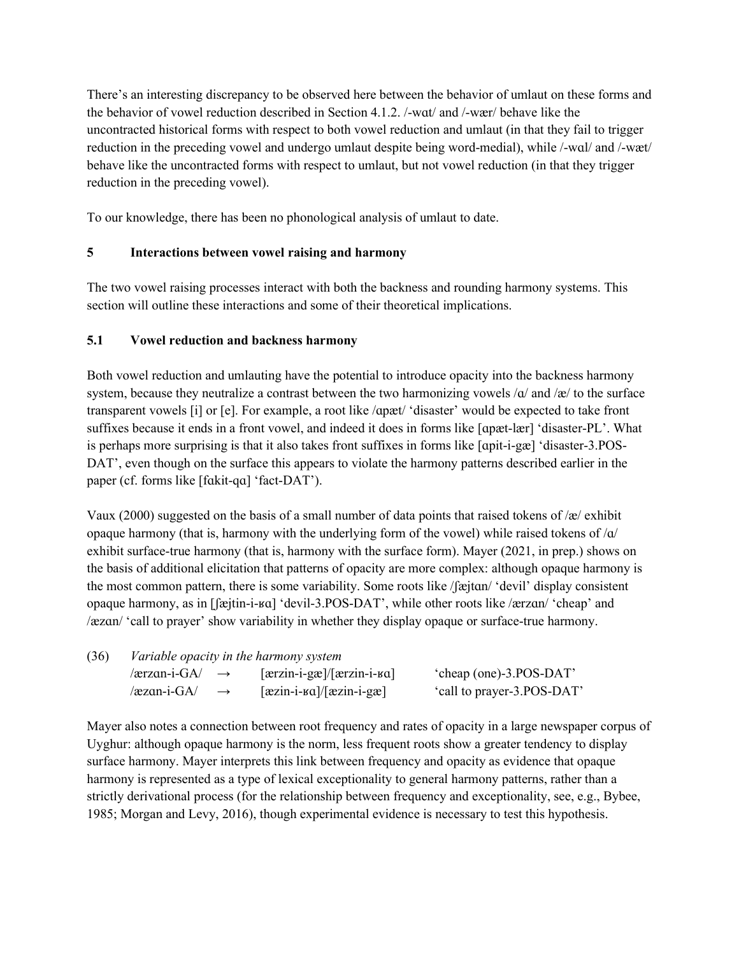There's an interesting discrepancy to be observed here between the behavior of umlaut on these forms and the behavior of vowel reduction described in Section 4.1.2. /-wɑt/ and /-wær/ behave like the uncontracted historical forms with respect to both vowel reduction and umlaut (in that they fail to trigger reduction in the preceding vowel and undergo umlaut despite being word-medial), while /-wɑl/ and /-wæt/ behave like the uncontracted forms with respect to umlaut, but not vowel reduction (in that they trigger reduction in the preceding vowel).

To our knowledge, there has been no phonological analysis of umlaut to date.

# **5 Interactions between vowel raising and harmony**

The two vowel raising processes interact with both the backness and rounding harmony systems. This section will outline these interactions and some of their theoretical implications.

## **5.1 Vowel reduction and backness harmony**

Both vowel reduction and umlauting have the potential to introduce opacity into the backness harmony system, because they neutralize a contrast between the two harmonizing vowels  $\alpha$  and  $\alpha$  to the surface transparent vowels [i] or [e]. For example, a root like /ɑpæt/ 'disaster' would be expected to take front suffixes because it ends in a front vowel, and indeed it does in forms like [ɑpæt-lær] 'disaster-PL'. What is perhaps more surprising is that it also takes front suffixes in forms like [ɑpit-i-gæ] 'disaster-3.POS-DAT', even though on the surface this appears to violate the harmony patterns described earlier in the paper (cf. forms like [fɑkit-qɑ] 'fact-DAT').

Vaux (2000) suggested on the basis of a small number of data points that raised tokens of /æ/ exhibit opaque harmony (that is, harmony with the underlying form of the vowel) while raised tokens of  $\alpha$ exhibit surface-true harmony (that is, harmony with the surface form). Mayer (2021, in prep.) shows on the basis of additional elicitation that patterns of opacity are more complex: although opaque harmony is the most common pattern, there is some variability. Some roots like /ʃæjtɑn/ 'devil' display consistent opaque harmony, as in [ʃæjtin-i-ʁɑ] 'devil-3.POS-DAT', while other roots like /ærzɑn/ 'cheap' and /æzɑn/ 'call to prayer' show variability in whether they display opaque or surface-true harmony.

| (36) | Variable opacity in the harmony system |                                                  |                            |  |
|------|----------------------------------------|--------------------------------------------------|----------------------------|--|
|      | /ærzan-i-GA/ $\rightarrow$             | $[\arzin-i-gæ]/[\arzin-i-ga]$                    | 'cheap (one)-3.POS-DAT'    |  |
|      | /æzan-i-GA/<br>$\rightarrow$           | $\left[\frac{azin-i-ga}{\text{zin}-i-ga}\right]$ | 'call to prayer-3.POS-DAT' |  |

Mayer also notes a connection between root frequency and rates of opacity in a large newspaper corpus of Uyghur: although opaque harmony is the norm, less frequent roots show a greater tendency to display surface harmony. Mayer interprets this link between frequency and opacity as evidence that opaque harmony is represented as a type of lexical exceptionality to general harmony patterns, rather than a strictly derivational process (for the relationship between frequency and exceptionality, see, e.g., Bybee, 1985; Morgan and Levy, 2016), though experimental evidence is necessary to test this hypothesis.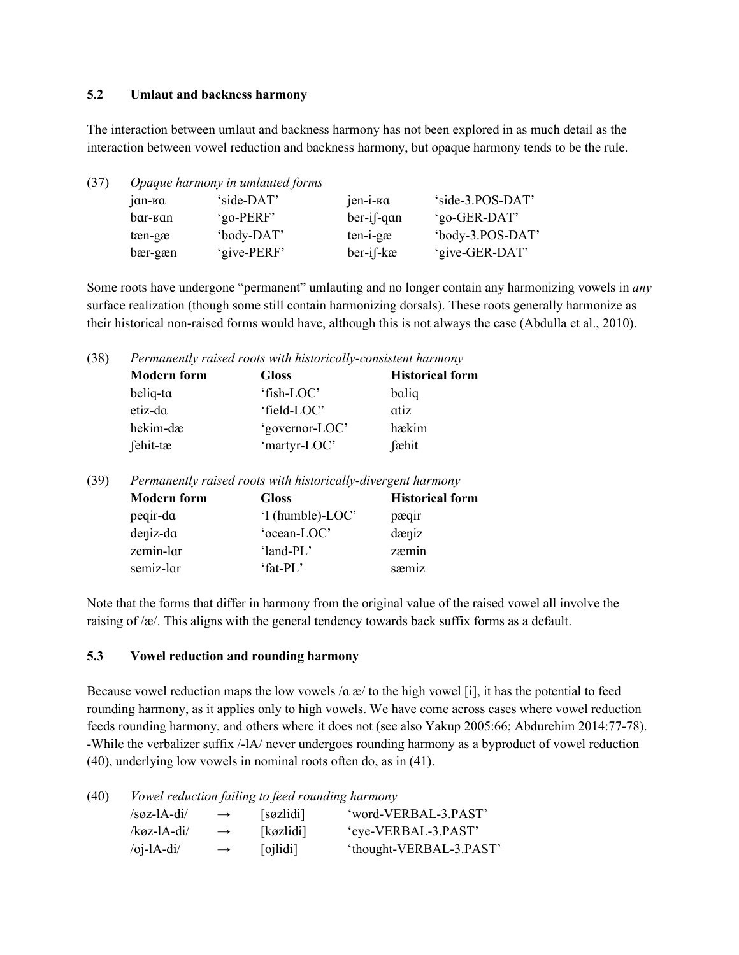### **5.2 Umlaut and backness harmony**

The interaction between umlaut and backness harmony has not been explored in as much detail as the interaction between vowel reduction and backness harmony, but opaque harmony tends to be the rule.

| (37) | Opaque harmony in umlauted forms |             |               |                  |  |  |  |
|------|----------------------------------|-------------|---------------|------------------|--|--|--|
|      | $1$ an- $1$ a                    | 'side-DAT'  | jen-i-ka      | 'side-3.POS-DAT' |  |  |  |
|      | bar-kan                          | 'go-PERF'   | $ber-i$ f-qan | 'go-GER-DAT'     |  |  |  |
|      | tæn-gæ                           | 'body-DAT'  | $ten-i-gæ$    | 'body-3.POS-DAT' |  |  |  |
|      | bær-gæn                          | 'give-PERF' | ber-if-kæ     | 'give-GER-DAT'   |  |  |  |

Some roots have undergone "permanent" umlauting and no longer contain any harmonizing vowels in *any*  surface realization (though some still contain harmonizing dorsals). These roots generally harmonize as their historical non-raised forms would have, although this is not always the case (Abdulla et al., 2010).

(38) *Permanently raised roots with historically-consistent harmony*

| <b>Modern form</b> | <b>Gloss</b>   | <b>Historical form</b> |
|--------------------|----------------|------------------------|
| beliq-ta           | 'fish-LOC'     | baliq                  |
| etiz-da            | 'field-LOC'    | atiz                   |
| hekim-dæ           | 'governor-LOC' | hækim                  |
| fehit-tæ           | 'martyr-LOC'   | fæhit                  |

(39) *Permanently raised roots with historically-divergent harmony*

| <b>Modern form</b> | <b>Gloss</b>     | <b>Historical form</b> |
|--------------------|------------------|------------------------|
| peqir-da           | 'I (humble)-LOC' | pæqir                  |
| deniz-da           | 'ocean-LOC'      | dæniz                  |
| zemin-lar          | ' $land-PI$ .'   | zæmin                  |
| semiz-lar          | 'fat-PL'         | sæmiz                  |

Note that the forms that differ in harmony from the original value of the raised vowel all involve the raising of /æ/. This aligns with the general tendency towards back suffix forms as a default.

### **5.3 Vowel reduction and rounding harmony**

Because vowel reduction maps the low vowels  $\alpha \neq 0$  to the high vowel [i], it has the potential to feed rounding harmony, as it applies only to high vowels. We have come across cases where vowel reduction feeds rounding harmony, and others where it does not (see also Yakup 2005:66; Abdurehim 2014:77-78). -While the verbalizer suffix /-lA/ never undergoes rounding harmony as a byproduct of vowel reduction (40), underlying low vowels in nominal roots often do, as in (41).

(40) *Vowel reduction failing to feed rounding harmony*

| $/soz-IA-di/$                         | $\rightarrow$ | [søzlidi] | 'word-VERBAL-3.PAST'    |
|---------------------------------------|---------------|-----------|-------------------------|
| /køz-lA-di/                           | $\rightarrow$ | [køzlidi] | 'eye-VERBAL-3.PAST'     |
| $\overline{O}$ j-lA-di $\overline{O}$ | $\rightarrow$ | [oilidi]  | 'thought-VERBAL-3.PAST' |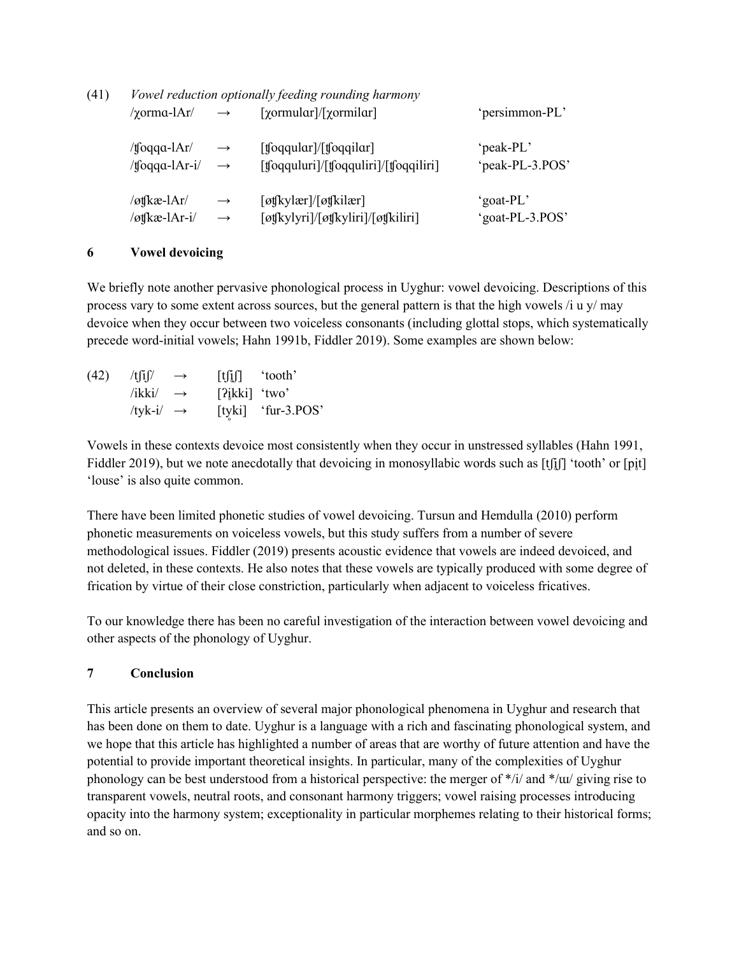| (41) | Vowel reduction optionally feeding rounding harmony |                   |                                                                                      |                 |  |  |
|------|-----------------------------------------------------|-------------------|--------------------------------------------------------------------------------------|-----------------|--|--|
|      | $\gamma$ orma-lAr/                                  | $\longrightarrow$ | $[\gamma$ ormular]/ $[\gamma$ ormilar]                                               | 'persimmon-PL'  |  |  |
|      | /tfoqqa-l $Ar/$                                     | $\longrightarrow$ | $[$ toqqular $]/$ [toqqilar]                                                         | 'peak-PL'       |  |  |
|      | /tfoqqa-lAr-i/                                      | $\rightarrow$     | $[$ toqquluri $]/[$ toqquliri $]/[$ toqqiliri $]$                                    | 'peak-PL-3.POS' |  |  |
|      | $/\sigma$ tkæ-lAr/                                  | $\rightarrow$     | $\lceil \omega f   k y   \omega r \rangle / \lceil \omega f   k i   \omega r \rceil$ | 'goat-PL'       |  |  |
|      | /øtfkæ-lAr-i/                                       | $\rightarrow$     | [øtʃkylyri]/[øtʃkyliri]/[øtʃkiliri]                                                  | 'goat-PL-3.POS' |  |  |

### **6 Vowel devoicing**

We briefly note another pervasive phonological process in Uyghur: vowel devoicing. Descriptions of this process vary to some extent across sources, but the general pattern is that the high vowels /i u y/ may devoice when they occur between two voiceless consonants (including glottal stops, which systematically precede word-initial vowels; Hahn 1991b, Fiddler 2019). Some examples are shown below:

| (42) | /t[i]/                | $\rightarrow$ | $[t][j]$ 'tooth'             |                    |
|------|-----------------------|---------------|------------------------------|--------------------|
|      | /ikki/ $\rightarrow$  |               | $[?$ <sub>ikki</sub> ] 'two' |                    |
|      | /tyk-i/ $\rightarrow$ |               |                              | [tyki] 'fur-3.POS' |

Vowels in these contexts devoice most consistently when they occur in unstressed syllables (Hahn 1991, Fiddler 2019), but we note anecdotally that devoicing in monosyllabic words such as [tʃiʃ] 'tooth' or [pi̯t] 'louse' is also quite common.

There have been limited phonetic studies of vowel devoicing. Tursun and Hemdulla (2010) perform phonetic measurements on voiceless vowels, but this study suffers from a number of severe methodological issues. Fiddler (2019) presents acoustic evidence that vowels are indeed devoiced, and not deleted, in these contexts. He also notes that these vowels are typically produced with some degree of frication by virtue of their close constriction, particularly when adjacent to voiceless fricatives.

To our knowledge there has been no careful investigation of the interaction between vowel devoicing and other aspects of the phonology of Uyghur.

## **7 Conclusion**

This article presents an overview of several major phonological phenomena in Uyghur and research that has been done on them to date. Uyghur is a language with a rich and fascinating phonological system, and we hope that this article has highlighted a number of areas that are worthy of future attention and have the potential to provide important theoretical insights. In particular, many of the complexities of Uyghur phonology can be best understood from a historical perspective: the merger of \*/i/ and \*/ɯ/ giving rise to transparent vowels, neutral roots, and consonant harmony triggers; vowel raising processes introducing opacity into the harmony system; exceptionality in particular morphemes relating to their historical forms; and so on.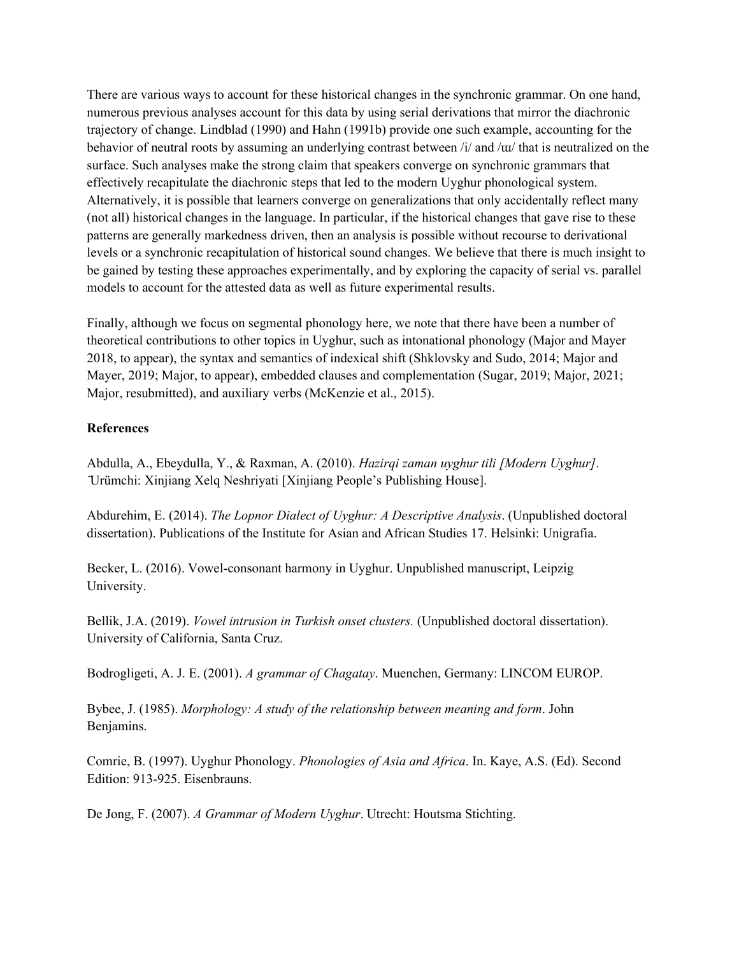There are various ways to account for these historical changes in the synchronic grammar. On one hand, numerous previous analyses account for this data by using serial derivations that mirror the diachronic trajectory of change. Lindblad (1990) and Hahn (1991b) provide one such example, accounting for the behavior of neutral roots by assuming an underlying contrast between /i/ and /ɯ/ that is neutralized on the surface. Such analyses make the strong claim that speakers converge on synchronic grammars that effectively recapitulate the diachronic steps that led to the modern Uyghur phonological system. Alternatively, it is possible that learners converge on generalizations that only accidentally reflect many (not all) historical changes in the language. In particular, if the historical changes that gave rise to these patterns are generally markedness driven, then an analysis is possible without recourse to derivational levels or a synchronic recapitulation of historical sound changes. We believe that there is much insight to be gained by testing these approaches experimentally, and by exploring the capacity of serial vs. parallel models to account for the attested data as well as future experimental results.

Finally, although we focus on segmental phonology here, we note that there have been a number of theoretical contributions to other topics in Uyghur, such as intonational phonology (Major and Mayer 2018, to appear), the syntax and semantics of indexical shift (Shklovsky and Sudo, 2014; Major and Mayer, 2019; Major, to appear), embedded clauses and complementation (Sugar, 2019; Major, 2021; Major, resubmitted), and auxiliary verbs (McKenzie et al., 2015).

### **References**

Abdulla, A., Ebeydulla, Y., & Raxman, A. (2010). *Hazirqi zaman uyghur tili [Modern Uyghur]*. ̈Urümchi: Xinjiang Xelq Neshriyati [Xinjiang People's Publishing House].

Abdurehim, E. (2014). *The Lopnor Dialect of Uyghur: A Descriptive Analysis*. (Unpublished doctoral dissertation). Publications of the Institute for Asian and African Studies 17. Helsinki: Unigrafia.

Becker, L. (2016). Vowel-consonant harmony in Uyghur. Unpublished manuscript, Leipzig University.

Bellik, J.A. (2019). *Vowel intrusion in Turkish onset clusters.* (Unpublished doctoral dissertation). University of California, Santa Cruz.

Bodrogligeti, A. J. E. (2001). *A grammar of Chagatay*. Muenchen, Germany: LINCOM EUROP.

Bybee, J. (1985). *Morphology: A study of the relationship between meaning and form*. John Benjamins.

Comrie, B. (1997). Uyghur Phonology. *Phonologies of Asia and Africa*. In. Kaye, A.S. (Ed). Second Edition: 913-925. Eisenbrauns.

De Jong, F. (2007). *A Grammar of Modern Uyghur*. Utrecht: Houtsma Stichting.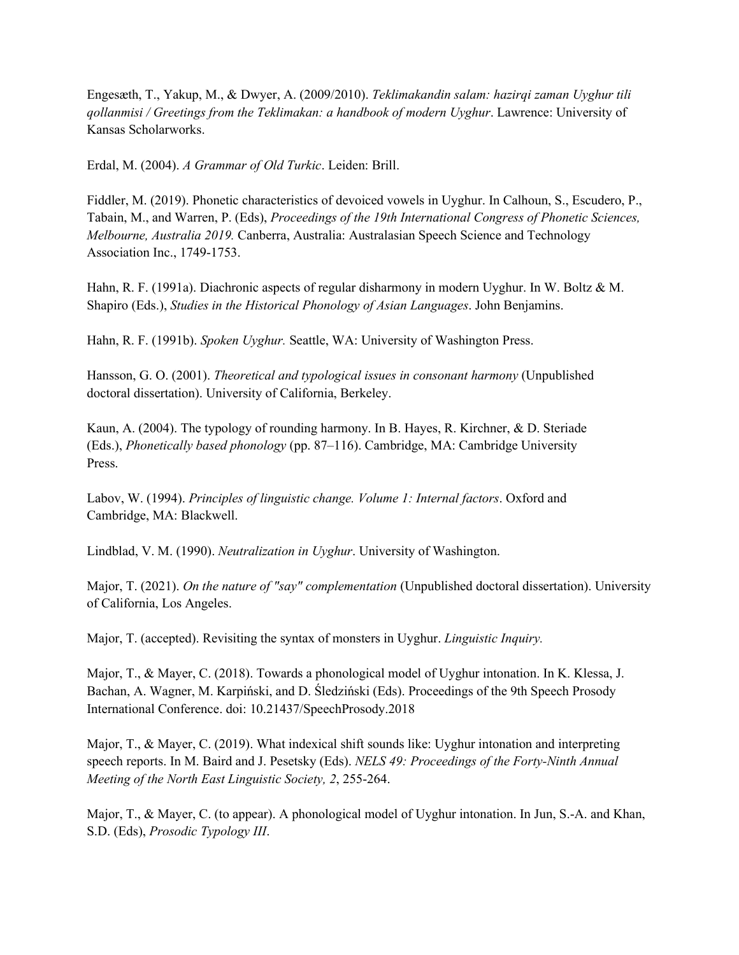Engesæth, T., Yakup, M., & Dwyer, A. (2009/2010). *Teklimakandin salam: hazirqi zaman Uyghur tili qollanmisi / Greetings from the Teklimakan: a handbook of modern Uyghur*. Lawrence: University of Kansas Scholarworks.

Erdal, M. (2004). *A Grammar of Old Turkic*. Leiden: Brill.

Fiddler, M. (2019). Phonetic characteristics of devoiced vowels in Uyghur. In Calhoun, S., Escudero, P., Tabain, M., and Warren, P. (Eds), *Proceedings of the 19th International Congress of Phonetic Sciences, Melbourne, Australia 2019.* Canberra, Australia: Australasian Speech Science and Technology Association Inc., 1749-1753.

Hahn, R. F. (1991a). Diachronic aspects of regular disharmony in modern Uyghur. In W. Boltz & M. Shapiro (Eds.), *Studies in the Historical Phonology of Asian Languages*. John Benjamins.

Hahn, R. F. (1991b). *Spoken Uyghur.* Seattle, WA: University of Washington Press.

Hansson, G. O. (2001). *Theoretical and typological issues in consonant harmony* (Unpublished doctoral dissertation). University of California, Berkeley.

Kaun, A. (2004). The typology of rounding harmony. In B. Hayes, R. Kirchner, & D. Steriade (Eds.), *Phonetically based phonology* (pp. 87–116). Cambridge, MA: Cambridge University Press.

Labov, W. (1994). *Principles of linguistic change. Volume 1: Internal factors*. Oxford and Cambridge, MA: Blackwell.

Lindblad, V. M. (1990). *Neutralization in Uyghur*. University of Washington.

Major, T. (2021). *On the nature of "say" complementation* (Unpublished doctoral dissertation). University of California, Los Angeles.

Major, T. (accepted). Revisiting the syntax of monsters in Uyghur. *Linguistic Inquiry.*

Major, T., & Mayer, C. (2018). Towards a phonological model of Uyghur intonation. In K. Klessa, J. Bachan, A. Wagner, M. Karpiński, and D. Śledziński (Eds). Proceedings of the 9th Speech Prosody International Conference. doi: 10.21437/SpeechProsody.2018

Major, T., & Mayer, C. (2019). What indexical shift sounds like: Uyghur intonation and interpreting speech reports. In M. Baird and J. Pesetsky (Eds). *NELS 49: Proceedings of the Forty-Ninth Annual Meeting of the North East Linguistic Society, 2*, 255-264.

Major, T., & Mayer, C. (to appear). A phonological model of Uyghur intonation. In Jun, S.-A. and Khan, S.D. (Eds), *Prosodic Typology III*.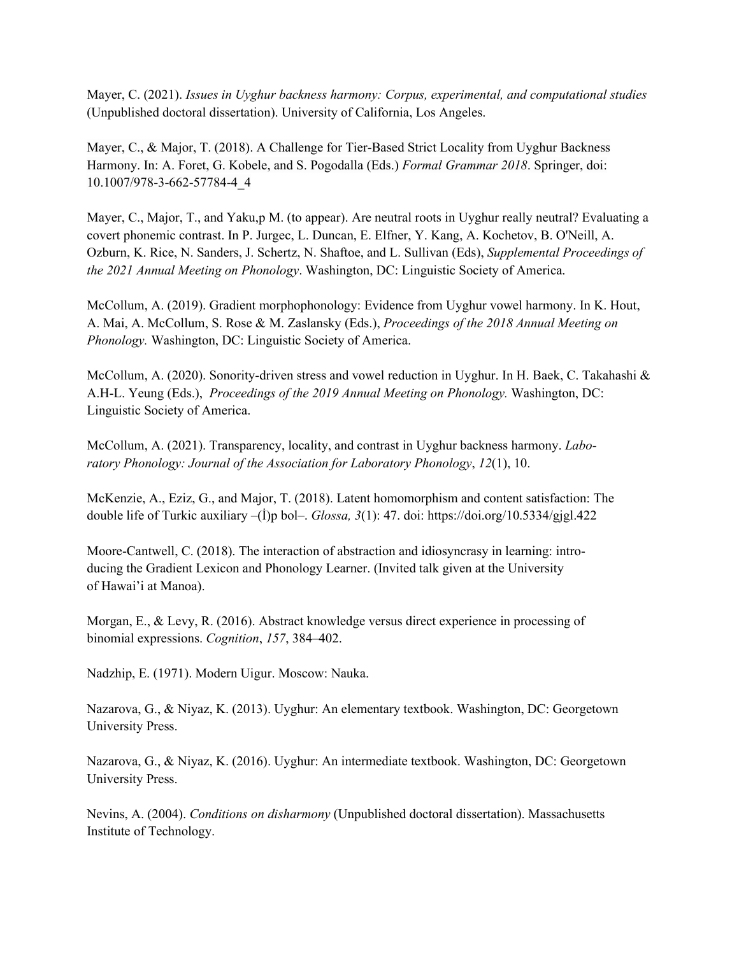Mayer, C. (2021). *Issues in Uyghur backness harmony: Corpus, experimental, and computational studies*  (Unpublished doctoral dissertation). University of California, Los Angeles.

Mayer, C., & Major, T. (2018). A Challenge for Tier-Based Strict Locality from Uyghur Backness Harmony. In: A. Foret, G. Kobele, and S. Pogodalla (Eds.) *Formal Grammar 2018*. Springer, doi: 10.1007/978-3-662-57784-4\_4

Mayer, C., Major, T., and Yaku,p M. (to appear). Are neutral roots in Uyghur really neutral? Evaluating a covert phonemic contrast. In P. Jurgec, L. Duncan, E. Elfner, Y. Kang, A. Kochetov, B. O'Neill, A. Ozburn, K. Rice, N. Sanders, J. Schertz, N. Shaftoe, and L. Sullivan (Eds), *Supplemental Proceedings of the 2021 Annual Meeting on Phonology*. Washington, DC: Linguistic Society of America.

McCollum, A. (2019). Gradient morphophonology: Evidence from Uyghur vowel harmony. In K. Hout, A. Mai, A. McCollum, S. Rose & M. Zaslansky (Eds.), *Proceedings of the 2018 Annual Meeting on Phonology.* Washington, DC: Linguistic Society of America.

McCollum, A. (2020). Sonority-driven stress and vowel reduction in Uyghur. In H. Baek, C. Takahashi & A.H-L. Yeung (Eds.), *Proceedings of the 2019 Annual Meeting on Phonology.* Washington, DC: Linguistic Society of America.

McCollum, A. (2021). Transparency, locality, and contrast in Uyghur backness harmony. *Laboratory Phonology: Journal of the Association for Laboratory Phonology*, *12*(1), 10.

McKenzie, A., Eziz, G., and Major, T. (2018). Latent homomorphism and content satisfaction: The double life of Turkic auxiliary –(İ)p bol–. *Glossa, 3*(1): 47. doi: https://doi.org/10.5334/gjgl.422

Moore-Cantwell, C. (2018). The interaction of abstraction and idiosyncrasy in learning: introducing the Gradient Lexicon and Phonology Learner. (Invited talk given at the University of Hawai'i at Manoa).

Morgan, E., & Levy, R. (2016). Abstract knowledge versus direct experience in processing of binomial expressions. *Cognition*, *157*, 384–402.

Nadzhip, E. (1971). Modern Uigur. Moscow: Nauka.

Nazarova, G., & Niyaz, K. (2013). Uyghur: An elementary textbook. Washington, DC: Georgetown University Press.

Nazarova, G., & Niyaz, K. (2016). Uyghur: An intermediate textbook. Washington, DC: Georgetown University Press.

Nevins, A. (2004). *Conditions on disharmony* (Unpublished doctoral dissertation). Massachusetts Institute of Technology.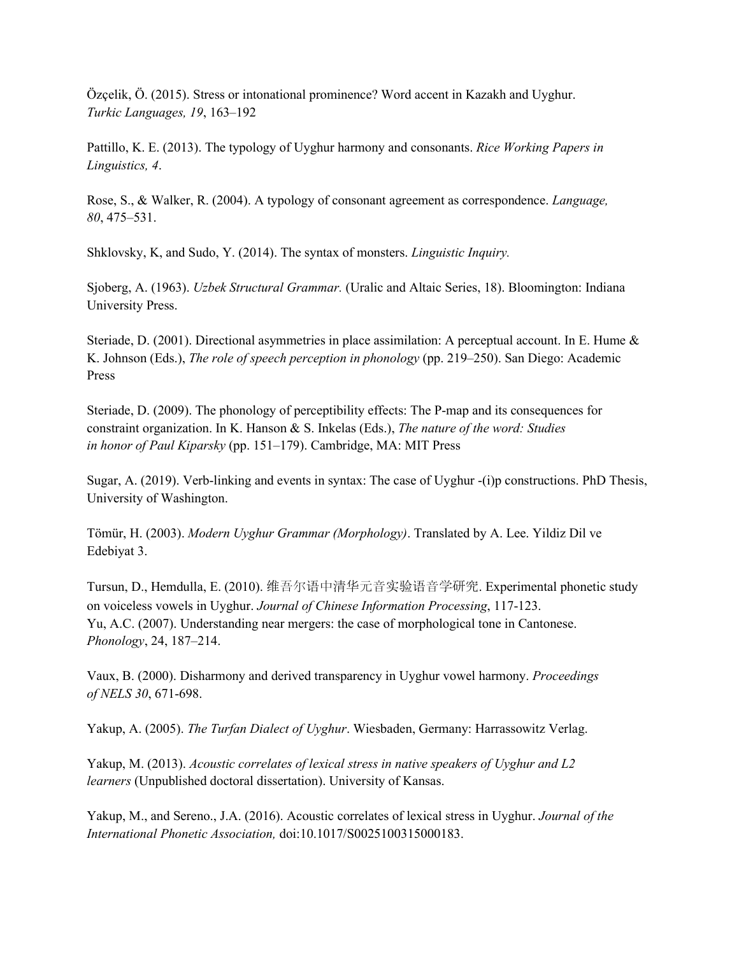Özçelik, Ö. (2015). Stress or intonational prominence? Word accent in Kazakh and Uyghur. *Turkic Languages, 19*, 163–192

Pattillo, K. E. (2013). The typology of Uyghur harmony and consonants. *Rice Working Papers in Linguistics, 4*.

Rose, S., & Walker, R. (2004). A typology of consonant agreement as correspondence. *Language, 80*, 475–531.

Shklovsky, K, and Sudo, Y. (2014). The syntax of monsters. *Linguistic Inquiry.*

Sjoberg, A. (1963). *Uzbek Structural Grammar.* (Uralic and Altaic Series, 18). Bloomington: Indiana University Press.

Steriade, D. (2001). Directional asymmetries in place assimilation: A perceptual account. In E. Hume & K. Johnson (Eds.), *The role of speech perception in phonology* (pp. 219–250). San Diego: Academic Press

Steriade, D. (2009). The phonology of perceptibility effects: The P-map and its consequences for constraint organization. In K. Hanson & S. Inkelas (Eds.), *The nature of the word: Studies in honor of Paul Kiparsky* (pp. 151–179). Cambridge, MA: MIT Press

Sugar, A. (2019). Verb-linking and events in syntax: The case of Uyghur -(i)p constructions. PhD Thesis, University of Washington.

Tömür, H. (2003). *Modern Uyghur Grammar (Morphology)*. Translated by A. Lee. Yildiz Dil ve Edebiyat 3.

Tursun, D., Hemdulla, E. (2010). 维吾尔语中清华元音实验语音学研究. Experimental phonetic study on voiceless vowels in Uyghur. *Journal of Chinese Information Processing*, 117-123. Yu, A.C. (2007). Understanding near mergers: the case of morphological tone in Cantonese. *Phonology*, 24, 187–214.

Vaux, B. (2000). Disharmony and derived transparency in Uyghur vowel harmony. *Proceedings of NELS 30*, 671-698.

Yakup, A. (2005). *The Turfan Dialect of Uyghur*. Wiesbaden, Germany: Harrassowitz Verlag.

Yakup, M. (2013). *Acoustic correlates of lexical stress in native speakers of Uyghur and L2 learners* (Unpublished doctoral dissertation). University of Kansas.

Yakup, M., and Sereno., J.A. (2016). Acoustic correlates of lexical stress in Uyghur. *Journal of the International Phonetic Association,* doi:10.1017/S0025100315000183.